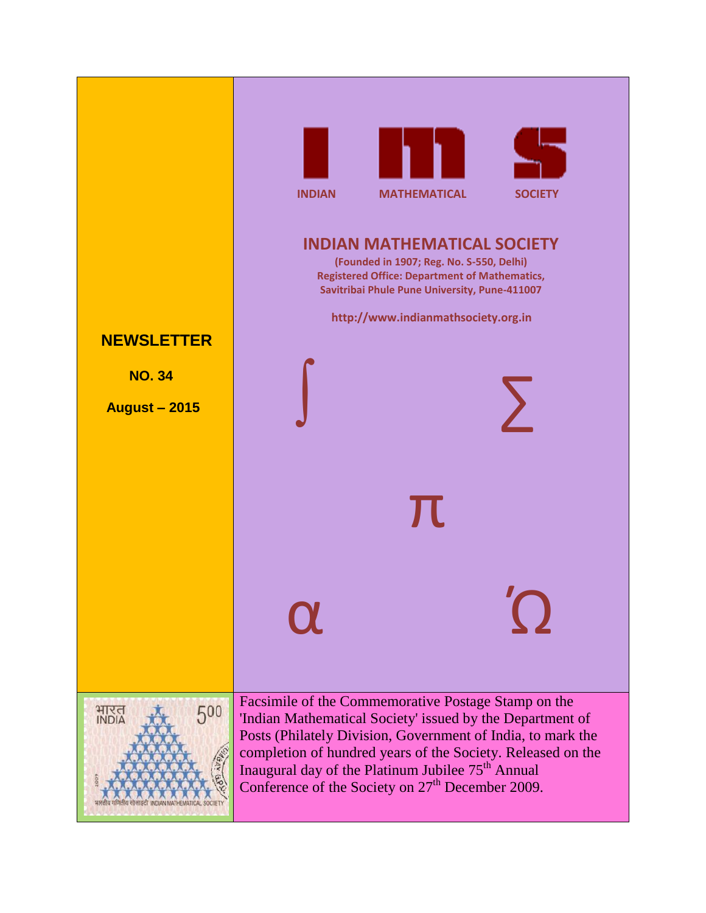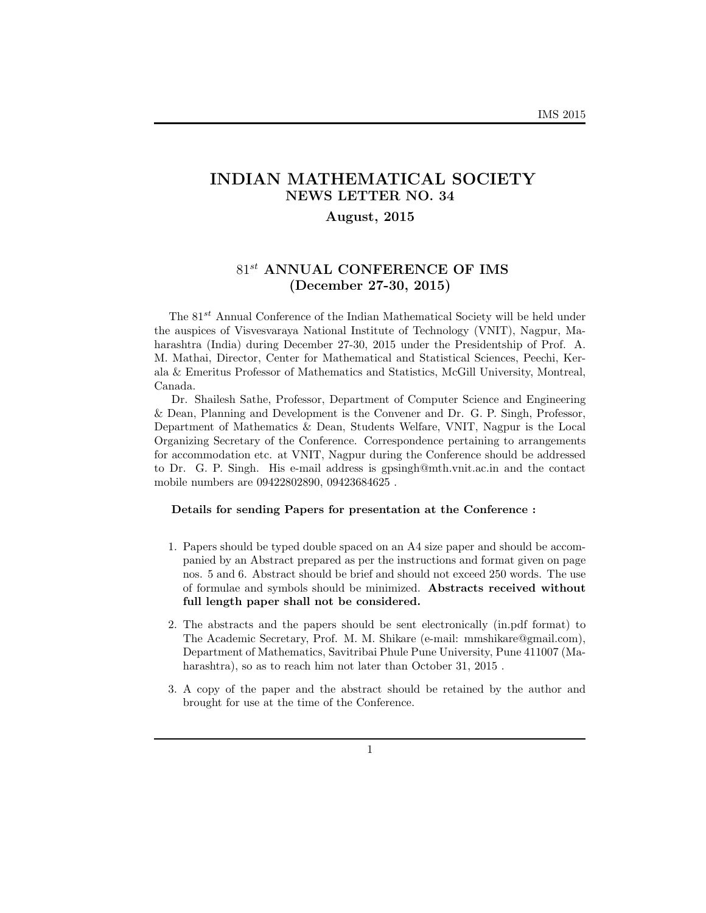# **INDIAN MATHEMATICAL SOCIETY NEWS LETTER NO. 34**

# **August, 2015**

# 81*st* **ANNUAL CONFERENCE OF IMS (December 27-30, 2015)**

The 81*st* Annual Conference of the Indian Mathematical Society will be held under the auspices of Visvesvaraya National Institute of Technology (VNIT), Nagpur, Maharashtra (India) during December 27-30, 2015 under the Presidentship of Prof. A. M. Mathai, Director, Center for Mathematical and Statistical Sciences, Peechi, Kerala & Emeritus Professor of Mathematics and Statistics, McGill University, Montreal, Canada.

Dr. Shailesh Sathe, Professor, Department of Computer Science and Engineering & Dean, Planning and Development is the Convener and Dr. G. P. Singh, Professor, Department of Mathematics & Dean, Students Welfare, VNIT, Nagpur is the Local Organizing Secretary of the Conference. Correspondence pertaining to arrangements for accommodation etc. at VNIT, Nagpur during the Conference should be addressed to Dr. G. P. Singh. His e-mail address is gpsingh@mth.vnit.ac.in and the contact mobile numbers are 09422802890, 09423684625 .

### **Details for sending Papers for presentation at the Conference :**

- 1. Papers should be typed double spaced on an A4 size paper and should be accompanied by an Abstract prepared as per the instructions and format given on page nos. 5 and 6. Abstract should be brief and should not exceed 250 words. The use of formulae and symbols should be minimized. **Abstracts received without full length paper shall not be considered.**
- 2. The abstracts and the papers should be sent electronically (in.pdf format) to The Academic Secretary, Prof. M. M. Shikare (e-mail: mmshikare@gmail.com), Department of Mathematics, Savitribai Phule Pune University, Pune 411007 (Maharashtra), so as to reach him not later than October 31, 2015 .
- 3. A copy of the paper and the abstract should be retained by the author and brought for use at the time of the Conference.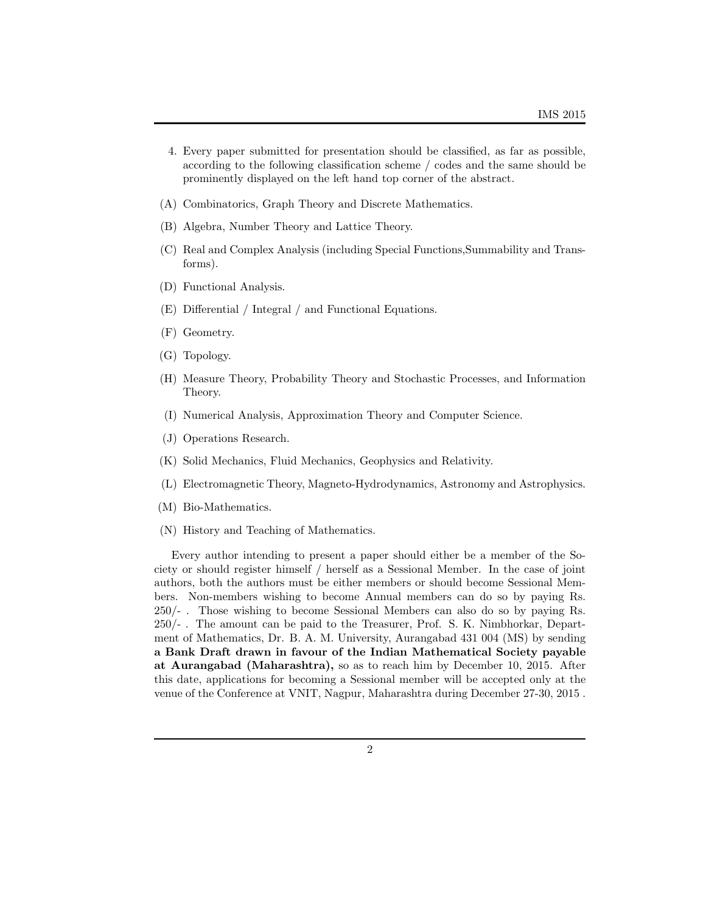- 4. Every paper submitted for presentation should be classified, as far as possible, according to the following classification scheme / codes and the same should be prominently displayed on the left hand top corner of the abstract.
- (A) Combinatorics, Graph Theory and Discrete Mathematics.
- (B) Algebra, Number Theory and Lattice Theory.
- (C) Real and Complex Analysis (including Special Functions,Summability and Transforms).
- (D) Functional Analysis.
- (E) Differential / Integral / and Functional Equations.
- (F) Geometry.
- (G) Topology.
- (H) Measure Theory, Probability Theory and Stochastic Processes, and Information Theory.
- (I) Numerical Analysis, Approximation Theory and Computer Science.
- (J) Operations Research.
- (K) Solid Mechanics, Fluid Mechanics, Geophysics and Relativity.
- (L) Electromagnetic Theory, Magneto-Hydrodynamics, Astronomy and Astrophysics.
- (M) Bio-Mathematics.
- (N) History and Teaching of Mathematics.

Every author intending to present a paper should either be a member of the Society or should register himself / herself as a Sessional Member. In the case of joint authors, both the authors must be either members or should become Sessional Members. Non-members wishing to become Annual members can do so by paying Rs. 250/- . Those wishing to become Sessional Members can also do so by paying Rs. 250/- . The amount can be paid to the Treasurer, Prof. S. K. Nimbhorkar, Department of Mathematics, Dr. B. A. M. University, Aurangabad 431 004 (MS) by sending **a Bank Draft drawn in favour of the Indian Mathematical Society payable at Aurangabad (Maharashtra),** so as to reach him by December 10, 2015. After this date, applications for becoming a Sessional member will be accepted only at the venue of the Conference at VNIT, Nagpur, Maharashtra during December 27-30, 2015 .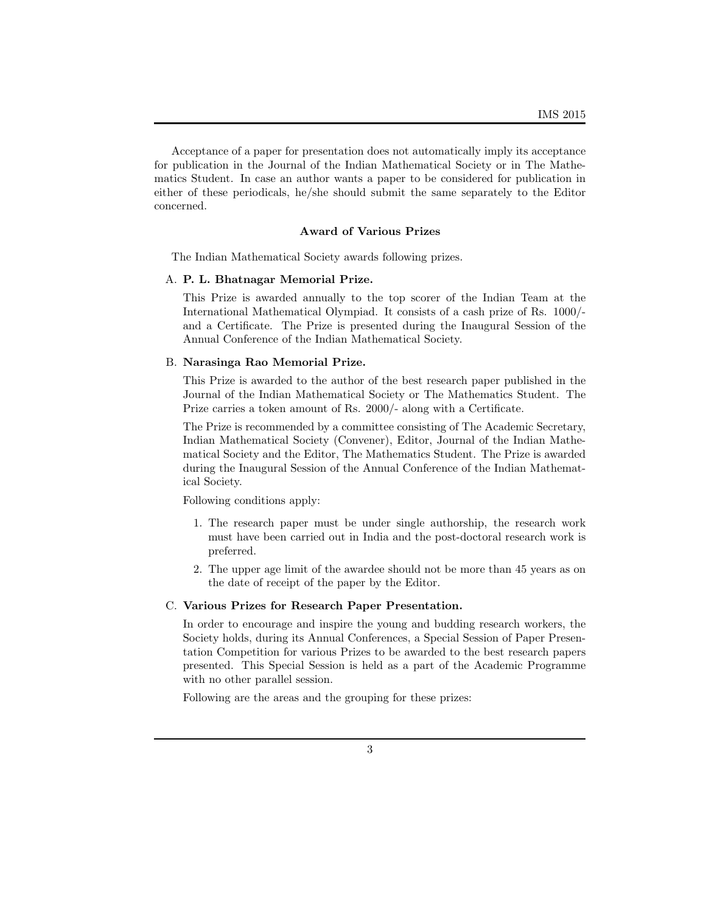Acceptance of a paper for presentation does not automatically imply its acceptance for publication in the Journal of the Indian Mathematical Society or in The Mathematics Student. In case an author wants a paper to be considered for publication in either of these periodicals, he/she should submit the same separately to the Editor concerned.

### **Award of Various Prizes**

The Indian Mathematical Society awards following prizes.

### A. **P. L. Bhatnagar Memorial Prize.**

This Prize is awarded annually to the top scorer of the Indian Team at the International Mathematical Olympiad. It consists of a cash prize of Rs. 1000/ and a Certificate. The Prize is presented during the Inaugural Session of the Annual Conference of the Indian Mathematical Society.

### B. **Narasinga Rao Memorial Prize.**

This Prize is awarded to the author of the best research paper published in the Journal of the Indian Mathematical Society or The Mathematics Student. The Prize carries a token amount of Rs. 2000/- along with a Certificate.

The Prize is recommended by a committee consisting of The Academic Secretary, Indian Mathematical Society (Convener), Editor, Journal of the Indian Mathematical Society and the Editor, The Mathematics Student. The Prize is awarded during the Inaugural Session of the Annual Conference of the Indian Mathematical Society.

Following conditions apply:

- 1. The research paper must be under single authorship, the research work must have been carried out in India and the post-doctoral research work is preferred.
- 2. The upper age limit of the awardee should not be more than 45 years as on the date of receipt of the paper by the Editor.

### C. **Various Prizes for Research Paper Presentation.**

In order to encourage and inspire the young and budding research workers, the Society holds, during its Annual Conferences, a Special Session of Paper Presentation Competition for various Prizes to be awarded to the best research papers presented. This Special Session is held as a part of the Academic Programme with no other parallel session.

Following are the areas and the grouping for these prizes: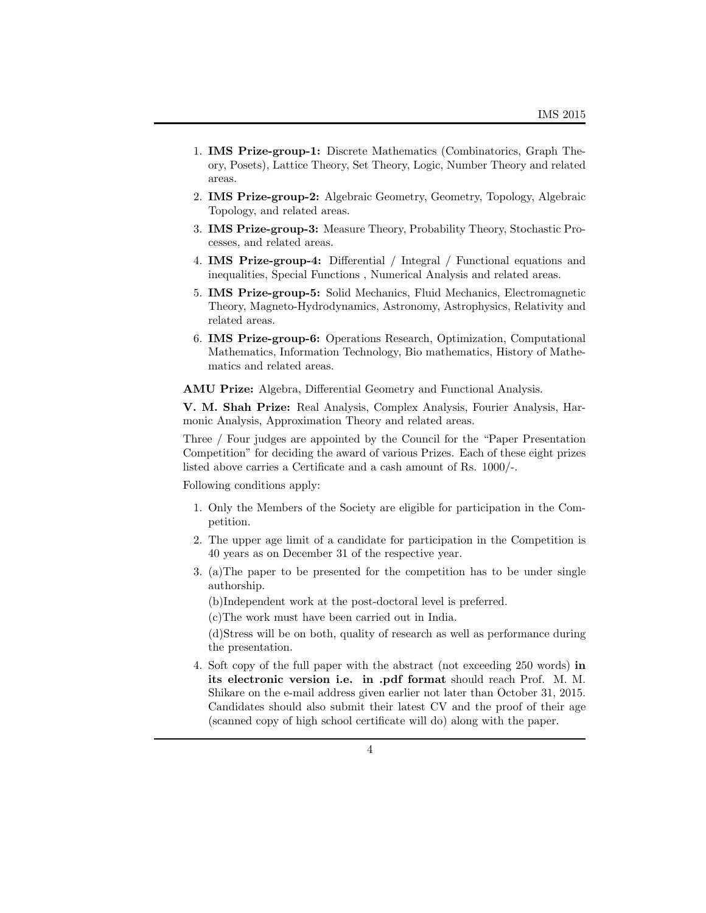- 1. **IMS Prize-group-1:** Discrete Mathematics (Combinatorics, Graph Theory, Posets), Lattice Theory, Set Theory, Logic, Number Theory and related areas.
- 2. **IMS Prize-group-2:** Algebraic Geometry, Geometry, Topology, Algebraic Topology, and related areas.
- 3. **IMS Prize-group-3:** Measure Theory, Probability Theory, Stochastic Processes, and related areas.
- 4. **IMS Prize-group-4:** Differential / Integral / Functional equations and inequalities, Special Functions , Numerical Analysis and related areas.
- 5. **IMS Prize-group-5:** Solid Mechanics, Fluid Mechanics, Electromagnetic Theory, Magneto-Hydrodynamics, Astronomy, Astrophysics, Relativity and related areas.
- 6. **IMS Prize-group-6:** Operations Research, Optimization, Computational Mathematics, Information Technology, Bio mathematics, History of Mathematics and related areas.

**AMU Prize:** Algebra, Differential Geometry and Functional Analysis.

**V. M. Shah Prize:** Real Analysis, Complex Analysis, Fourier Analysis, Harmonic Analysis, Approximation Theory and related areas.

Three / Four judges are appointed by the Council for the "Paper Presentation Competition" for deciding the award of various Prizes. Each of these eight prizes listed above carries a Certificate and a cash amount of Rs. 1000/-.

Following conditions apply:

- 1. Only the Members of the Society are eligible for participation in the Competition.
- 2. The upper age limit of a candidate for participation in the Competition is 40 years as on December 31 of the respective year.
- 3. (a)The paper to be presented for the competition has to be under single authorship.

(b)Independent work at the post-doctoral level is preferred.

(c)The work must have been carried out in India.

(d)Stress will be on both, quality of research as well as performance during the presentation.

4. Soft copy of the full paper with the abstract (not exceeding 250 words) **in its electronic version i.e. in .pdf format** should reach Prof. M. M. Shikare on the e-mail address given earlier not later than October 31, 2015. Candidates should also submit their latest CV and the proof of their age (scanned copy of high school certificate will do) along with the paper.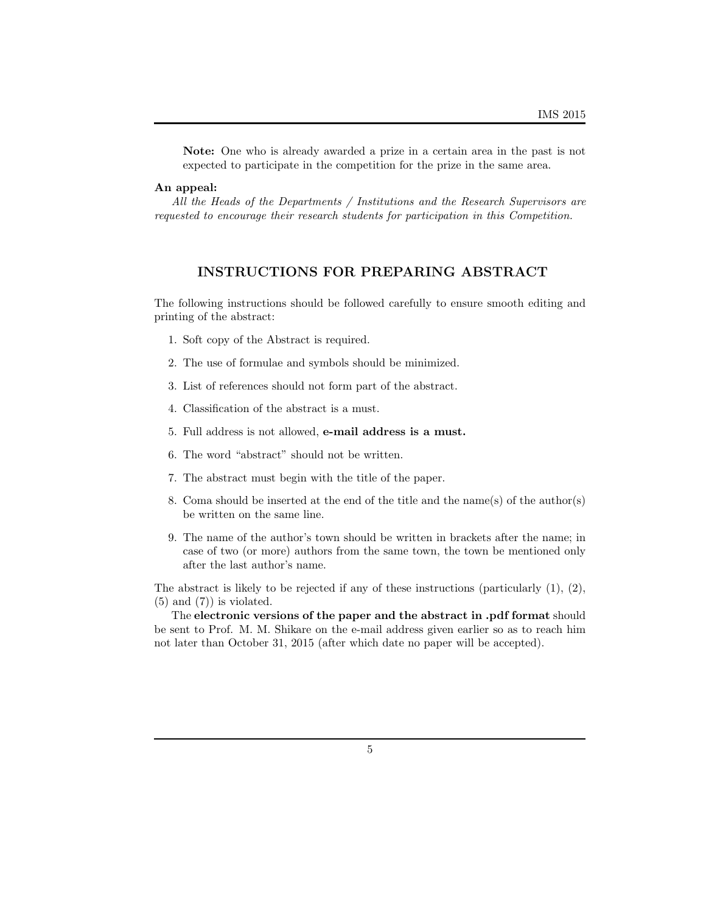**Note:** One who is already awarded a prize in a certain area in the past is not expected to participate in the competition for the prize in the same area.

### **An appeal:**

*All the Heads of the Departments / Institutions and the Research Supervisors are requested to encourage their research students for participation in this Competition.*

# **INSTRUCTIONS FOR PREPARING ABSTRACT**

The following instructions should be followed carefully to ensure smooth editing and printing of the abstract:

- 1. Soft copy of the Abstract is required.
- 2. The use of formulae and symbols should be minimized.
- 3. List of references should not form part of the abstract.
- 4. Classification of the abstract is a must.
- 5. Full address is not allowed, **e-mail address is a must.**
- 6. The word "abstract" should not be written.
- 7. The abstract must begin with the title of the paper.
- 8. Coma should be inserted at the end of the title and the name(s) of the author(s) be written on the same line.
- 9. The name of the author's town should be written in brackets after the name; in case of two (or more) authors from the same town, the town be mentioned only after the last author's name.

The abstract is likely to be rejected if any of these instructions (particularly  $(1), (2),$  $(5)$  and  $(7)$  is violated.

The **electronic versions of the paper and the abstract in .pdf format** should be sent to Prof. M. M. Shikare on the e-mail address given earlier so as to reach him not later than October 31, 2015 (after which date no paper will be accepted).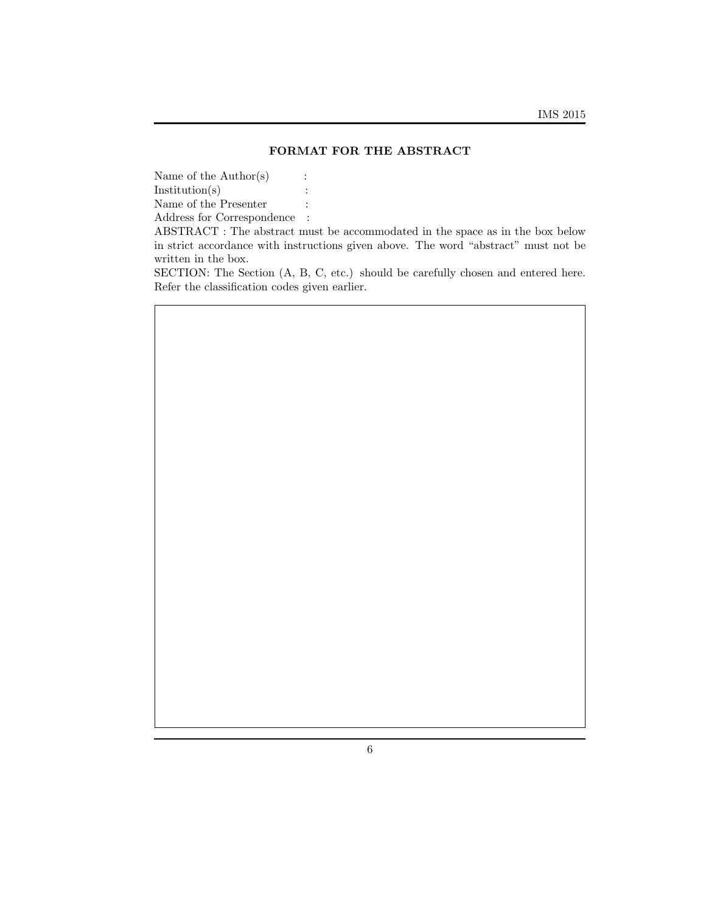### **FORMAT FOR THE ABSTRACT**

Name of the  $\text{Author}(s)$  : Institution(s)  $\qquad \qquad$  :

Name of the Presenter  $\qquad \, :$ 

Address for Correspondence :

ABSTRACT : The abstract must be accommodated in the space as in the box below in strict accordance with instructions given above. The word "abstract" must not be written in the box.

SECTION: The Section (A, B, C, etc.) should be carefully chosen and entered here. Refer the classification codes given earlier.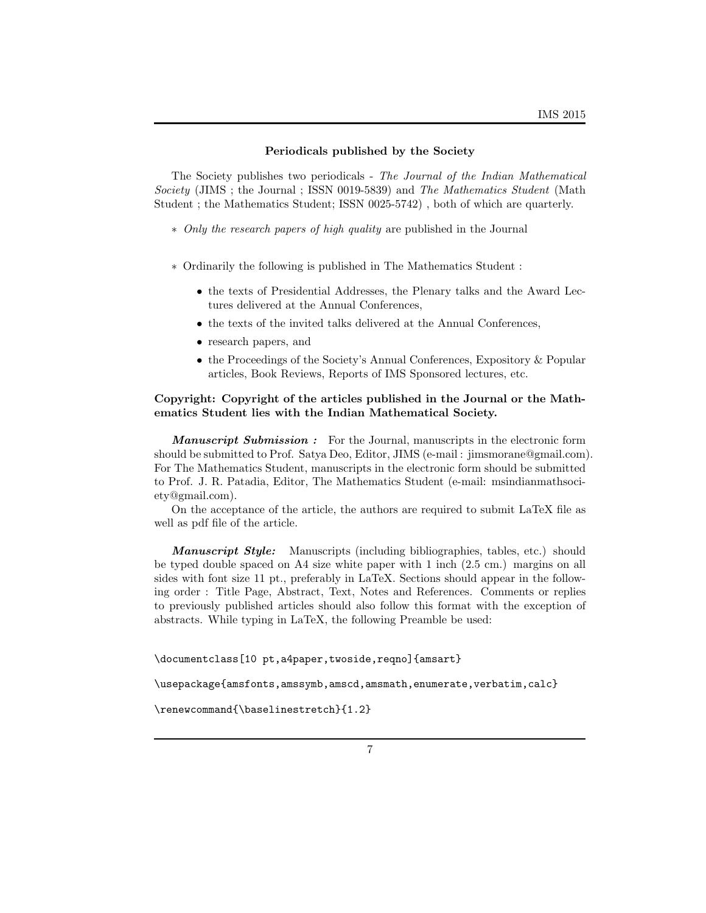#### **Periodicals published by the Society**

The Society publishes two periodicals - *The Journal of the Indian Mathematical Society* (JIMS ; the Journal ; ISSN 0019-5839) and *The Mathematics Student* (Math Student ; the Mathematics Student; ISSN 0025-5742) , both of which are quarterly.

- *∗ Only the research papers of high quality* are published in the Journal
- *∗* Ordinarily the following is published in The Mathematics Student :
	- the texts of Presidential Addresses, the Plenary talks and the Award Lectures delivered at the Annual Conferences,
	- the texts of the invited talks delivered at the Annual Conferences,
	- *•* research papers, and
	- the Proceedings of the Society's Annual Conferences, Expository & Popular articles, Book Reviews, Reports of IMS Sponsored lectures, etc.

### **Copyright: Copyright of the articles published in the Journal or the Mathematics Student lies with the Indian Mathematical Society.**

*Manuscript Submission :* For the Journal, manuscripts in the electronic form should be submitted to Prof. Satya Deo, Editor, JIMS (e-mail : jimsmorane@gmail.com). For The Mathematics Student, manuscripts in the electronic form should be submitted to Prof. J. R. Patadia, Editor, The Mathematics Student (e-mail: msindianmathsociety@gmail.com).

On the acceptance of the article, the authors are required to submit LaTeX file as well as pdf file of the article.

*Manuscript Style:* Manuscripts (including bibliographies, tables, etc.) should be typed double spaced on A4 size white paper with 1 inch (2.5 cm.) margins on all sides with font size 11 pt., preferably in LaTeX. Sections should appear in the following order : Title Page, Abstract, Text, Notes and References. Comments or replies to previously published articles should also follow this format with the exception of abstracts. While typing in LaTeX, the following Preamble be used:

\documentclass[10 pt,a4paper,twoside,reqno]{amsart}

\usepackage{amsfonts,amssymb,amscd,amsmath,enumerate,verbatim,calc}

\renewcommand{\baselinestretch}{1.2}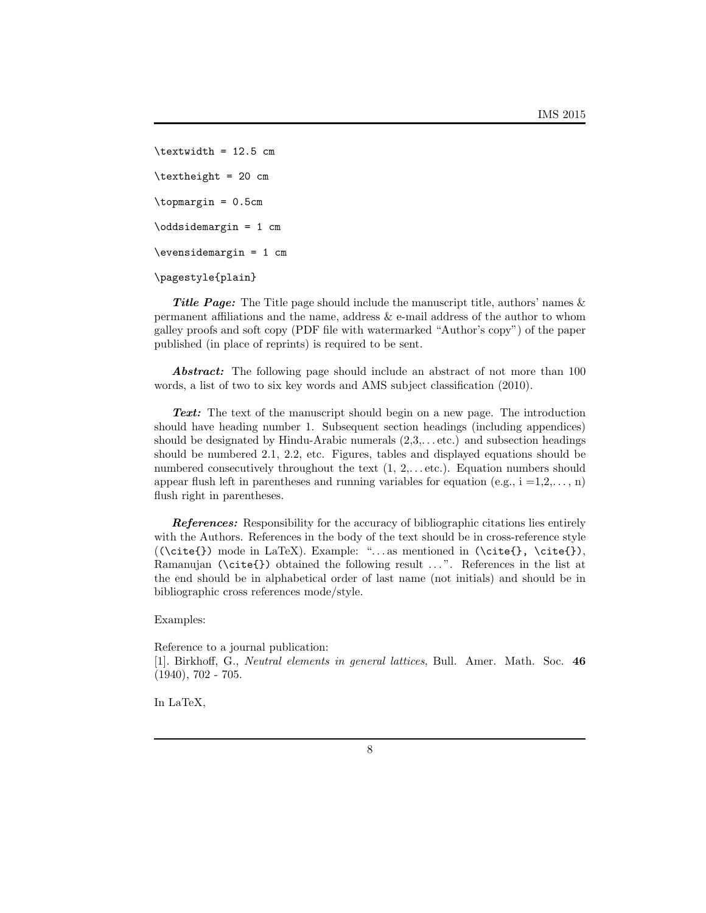\textwidth = 12.5 cm \textheight = 20 cm \topmargin = 0.5cm \oddsidemargin = 1 cm \evensidemargin = 1 cm \pagestyle{plain}

**Title Page:** The Title page should include the manuscript title, authors' names & permanent affiliations and the name, address & e-mail address of the author to whom galley proofs and soft copy (PDF file with watermarked "Author's copy") of the paper published (in place of reprints) is required to be sent.

*Abstract:* The following page should include an abstract of not more than 100 words, a list of two to six key words and AMS subject classification (2010).

*Text:* The text of the manuscript should begin on a new page. The introduction should have heading number 1. Subsequent section headings (including appendices) should be designated by Hindu-Arabic numerals  $(2,3,\ldots$  etc.) and subsection headings should be numbered 2.1, 2.2, etc. Figures, tables and displayed equations should be numbered consecutively throughout the text  $(1, 2, \ldots$  etc.). Equation numbers should appear flush left in parentheses and running variables for equation (e.g.,  $i = 1, 2, \ldots, n$ ) flush right in parentheses.

*References:* Responsibility for the accuracy of bibliographic citations lies entirely with the Authors. References in the body of the text should be in cross-reference style  $((\cite{}f) mode in LaTeX). Example: "... as mentioned in (\cite{}f), \cite{}f).$ Ramanujan (\cite{}) obtained the following result ...". References in the list at the end should be in alphabetical order of last name (not initials) and should be in bibliographic cross references mode/style.

Examples:

Reference to a journal publication: [1]*.* Birkhoff, G., *Neutral elements in general lattices*, Bull. Amer. Math. Soc. **46**  $(1940), 702 - 705.$ 

In LaTeX,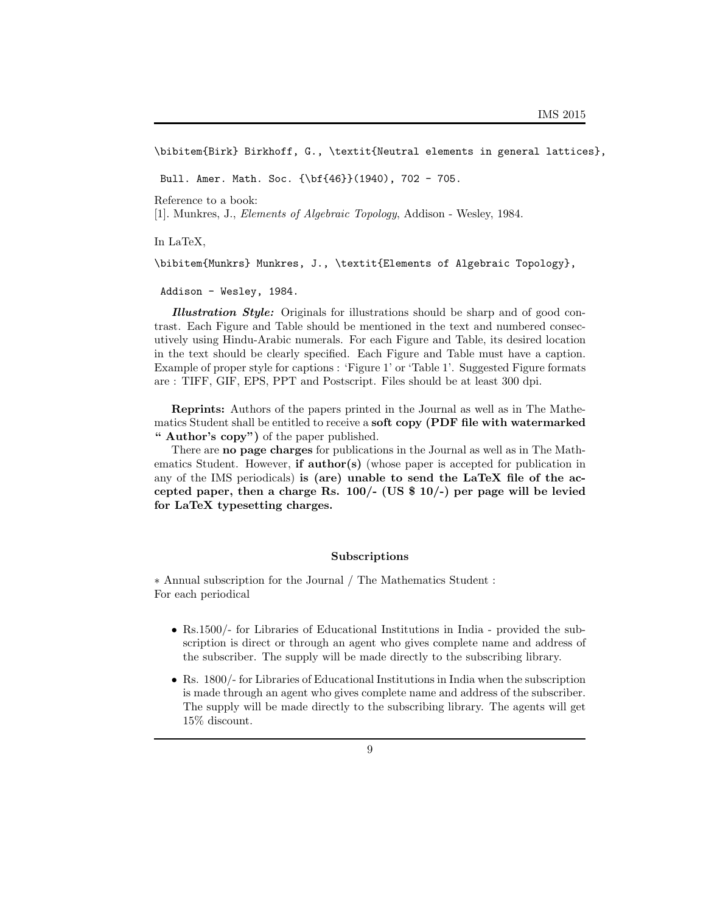\bibitem{Birk} Birkhoff, G., \textit{Neutral elements in general lattices},

Bull. Amer. Math. Soc. {\bf{46}}(1940), 702 - 705.

Reference to a book:

[1]*.* Munkres, J., *Elements of Algebraic Topology*, Addison - Wesley, 1984.

In LaTeX,

\bibitem{Munkrs} Munkres, J., \textit{Elements of Algebraic Topology},

Addison - Wesley, 1984.

*Illustration Style:* Originals for illustrations should be sharp and of good contrast. Each Figure and Table should be mentioned in the text and numbered consecutively using Hindu-Arabic numerals. For each Figure and Table, its desired location in the text should be clearly specified. Each Figure and Table must have a caption. Example of proper style for captions : 'Figure 1' or 'Table 1'. Suggested Figure formats are : TIFF, GIF, EPS, PPT and Postscript. Files should be at least 300 dpi.

**Reprints:** Authors of the papers printed in the Journal as well as in The Mathematics Student shall be entitled to receive a **soft copy (PDF file with watermarked " Author's copy")** of the paper published.

There are **no page charges** for publications in the Journal as well as in The Mathematics Student. However, **if author(s)** (whose paper is accepted for publication in any of the IMS periodicals) **is (are) unable to send the LaTeX file of the accepted paper, then a charge Rs. 100/- (US \$ 10/-) per page will be levied for LaTeX typesetting charges.**

#### **Subscriptions**

*∗* Annual subscription for the Journal / The Mathematics Student : For each periodical

- Rs.1500/- for Libraries of Educational Institutions in India provided the subscription is direct or through an agent who gives complete name and address of the subscriber. The supply will be made directly to the subscribing library.
- Rs. 1800/- for Libraries of Educational Institutions in India when the subscription is made through an agent who gives complete name and address of the subscriber. The supply will be made directly to the subscribing library. The agents will get 15% discount.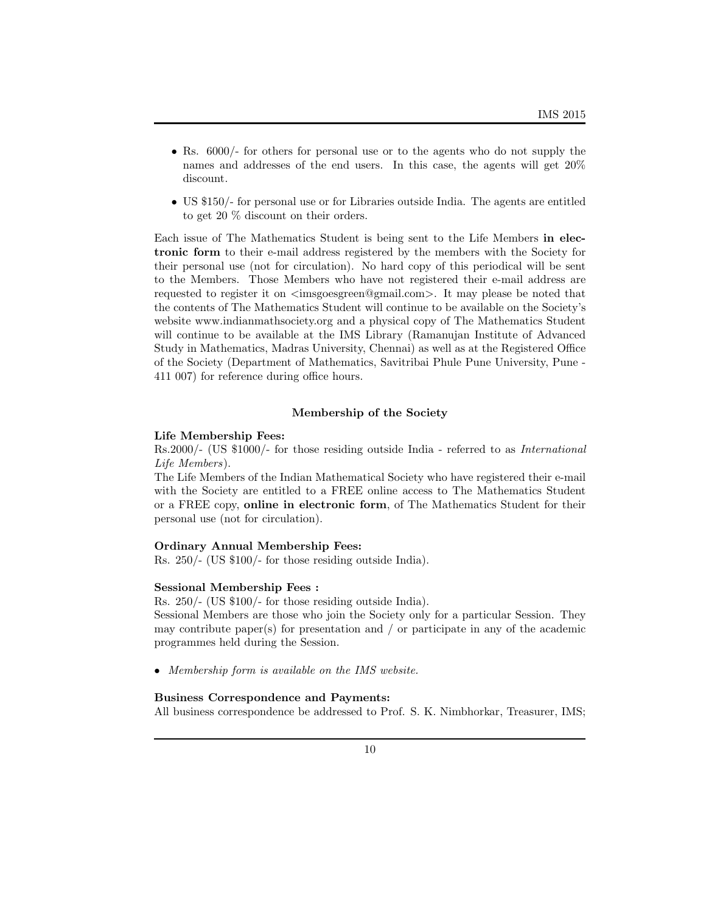- Rs. 6000/- for others for personal use or to the agents who do not supply the names and addresses of the end users. In this case, the agents will get 20% discount.
- *•* US \$150/- for personal use or for Libraries outside India. The agents are entitled to get 20 % discount on their orders.

Each issue of The Mathematics Student is being sent to the Life Members **in electronic form** to their e-mail address registered by the members with the Society for their personal use (not for circulation). No hard copy of this periodical will be sent to the Members. Those Members who have not registered their e-mail address are requested to register it on *<*imsgoesgreen@gmail.com*>*. It may please be noted that the contents of The Mathematics Student will continue to be available on the Society's website www.indianmathsociety.org and a physical copy of The Mathematics Student will continue to be available at the IMS Library (Ramanujan Institute of Advanced Study in Mathematics, Madras University, Chennai) as well as at the Registered Office of the Society (Department of Mathematics, Savitribai Phule Pune University, Pune - 411 007) for reference during office hours.

#### **Membership of the Society**

### **Life Membership Fees:**

Rs.2000/- (US \$1000/- for those residing outside India - referred to as *International Life Members*).

The Life Members of the Indian Mathematical Society who have registered their e-mail with the Society are entitled to a FREE online access to The Mathematics Student or a FREE copy, **online in electronic form**, of The Mathematics Student for their personal use (not for circulation).

#### **Ordinary Annual Membership Fees:**

Rs. 250/- (US \$100/- for those residing outside India).

#### **Sessional Membership Fees :**

Rs. 250/- (US \$100/- for those residing outside India).

Sessional Members are those who join the Society only for a particular Session. They may contribute paper(s) for presentation and / or participate in any of the academic programmes held during the Session.

*• Membership form is available on the IMS website.*

### **Business Correspondence and Payments:**

All business correspondence be addressed to Prof. S. K. Nimbhorkar, Treasurer, IMS;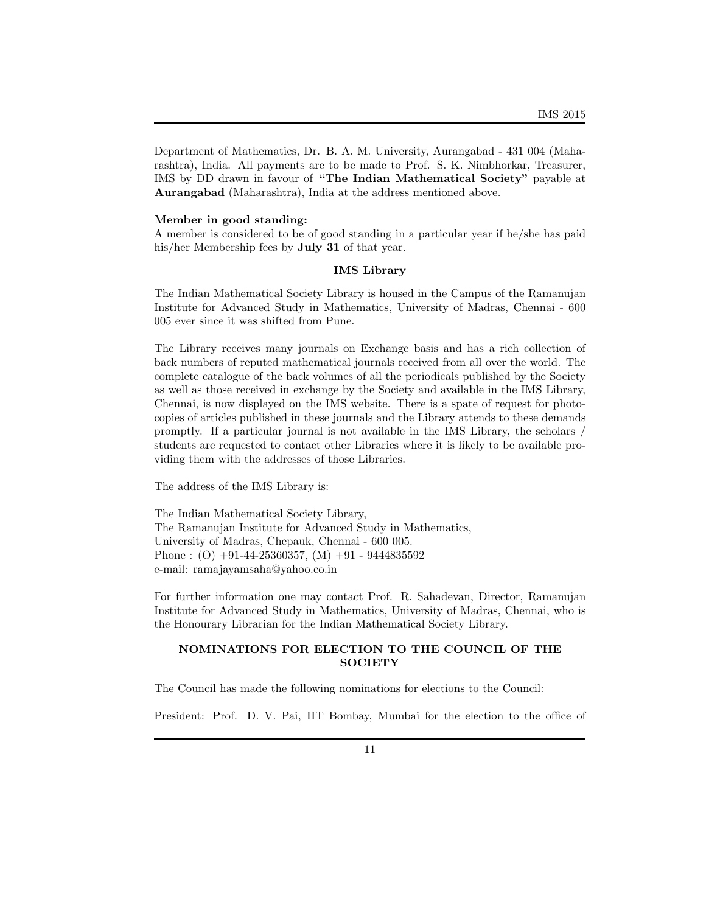Department of Mathematics, Dr. B. A. M. University, Aurangabad - 431 004 (Maharashtra), India. All payments are to be made to Prof. S. K. Nimbhorkar, Treasurer, IMS by DD drawn in favour of **"The Indian Mathematical Society"** payable at **Aurangabad** (Maharashtra), India at the address mentioned above.

### **Member in good standing:**

A member is considered to be of good standing in a particular year if he/she has paid his/her Membership fees by **July 31** of that year.

#### **IMS Library**

The Indian Mathematical Society Library is housed in the Campus of the Ramanujan Institute for Advanced Study in Mathematics, University of Madras, Chennai - 600 005 ever since it was shifted from Pune.

The Library receives many journals on Exchange basis and has a rich collection of back numbers of reputed mathematical journals received from all over the world. The complete catalogue of the back volumes of all the periodicals published by the Society as well as those received in exchange by the Society and available in the IMS Library, Chennai, is now displayed on the IMS website. There is a spate of request for photocopies of articles published in these journals and the Library attends to these demands promptly. If a particular journal is not available in the IMS Library, the scholars / students are requested to contact other Libraries where it is likely to be available providing them with the addresses of those Libraries.

The address of the IMS Library is:

The Indian Mathematical Society Library, The Ramanujan Institute for Advanced Study in Mathematics, University of Madras, Chepauk, Chennai - 600 005. Phone :  $(O)$  +91-44-25360357,  $(M)$  +91 - 9444835592 e-mail: ramajayamsaha@yahoo.co.in

For further information one may contact Prof. R. Sahadevan, Director, Ramanujan Institute for Advanced Study in Mathematics, University of Madras, Chennai, who is the Honourary Librarian for the Indian Mathematical Society Library.

## **NOMINATIONS FOR ELECTION TO THE COUNCIL OF THE SOCIETY**

The Council has made the following nominations for elections to the Council:

President: Prof. D. V. Pai, IIT Bombay, Mumbai for the election to the office of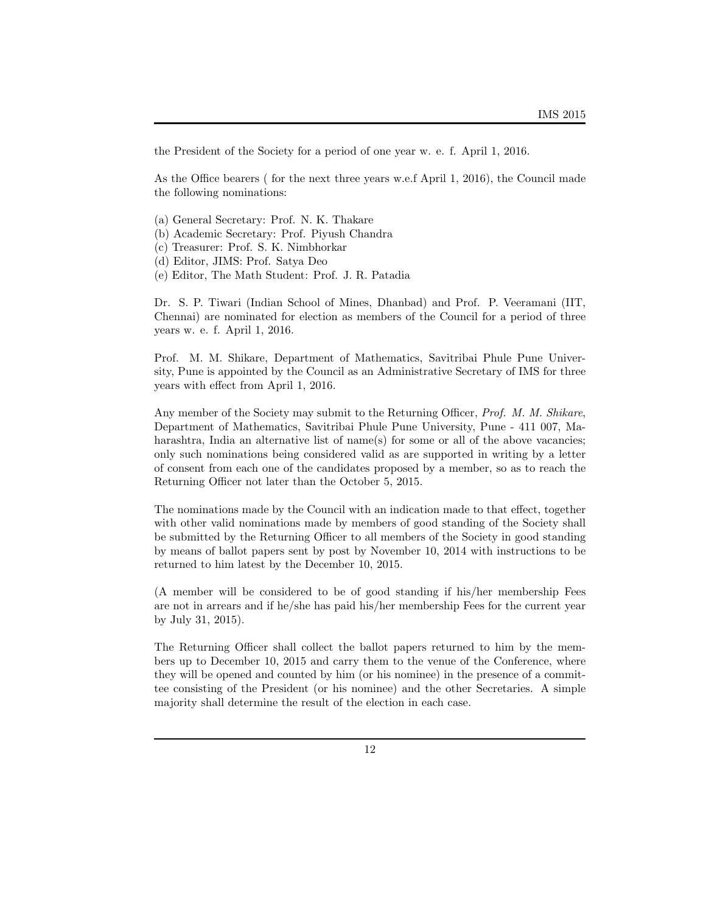the President of the Society for a period of one year w. e. f. April 1, 2016.

As the Office bearers ( for the next three years w.e.f April 1, 2016), the Council made the following nominations:

- (a) General Secretary: Prof. N. K. Thakare
- (b) Academic Secretary: Prof. Piyush Chandra
- (c) Treasurer: Prof. S. K. Nimbhorkar
- (d) Editor, JIMS: Prof. Satya Deo
- (e) Editor, The Math Student: Prof. J. R. Patadia

Dr. S. P. Tiwari (Indian School of Mines, Dhanbad) and Prof. P. Veeramani (IIT, Chennai) are nominated for election as members of the Council for a period of three years w. e. f. April 1, 2016.

Prof. M. M. Shikare, Department of Mathematics, Savitribai Phule Pune University, Pune is appointed by the Council as an Administrative Secretary of IMS for three years with effect from April 1, 2016.

Any member of the Society may submit to the Returning Officer, *Prof. M. M. Shikare*, Department of Mathematics, Savitribai Phule Pune University, Pune - 411 007, Maharashtra, India an alternative list of name(s) for some or all of the above vacancies; only such nominations being considered valid as are supported in writing by a letter of consent from each one of the candidates proposed by a member, so as to reach the Returning Officer not later than the October 5, 2015.

The nominations made by the Council with an indication made to that effect, together with other valid nominations made by members of good standing of the Society shall be submitted by the Returning Officer to all members of the Society in good standing by means of ballot papers sent by post by November 10, 2014 with instructions to be returned to him latest by the December 10, 2015.

(A member will be considered to be of good standing if his/her membership Fees are not in arrears and if he/she has paid his/her membership Fees for the current year by July 31, 2015).

The Returning Officer shall collect the ballot papers returned to him by the members up to December 10, 2015 and carry them to the venue of the Conference, where they will be opened and counted by him (or his nominee) in the presence of a committee consisting of the President (or his nominee) and the other Secretaries. A simple majority shall determine the result of the election in each case.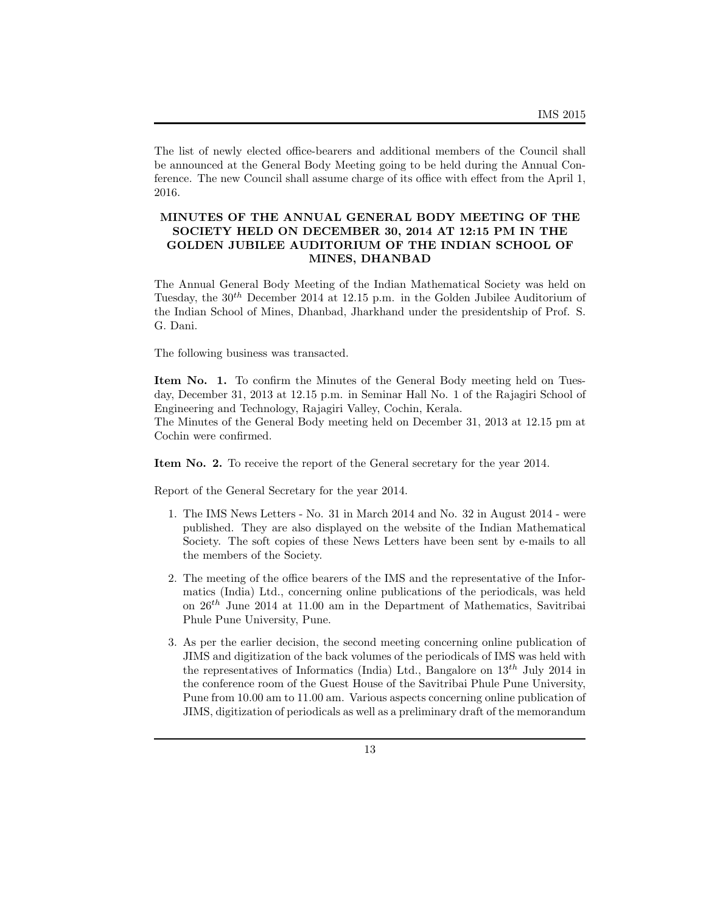The list of newly elected office-bearers and additional members of the Council shall be announced at the General Body Meeting going to be held during the Annual Conference. The new Council shall assume charge of its office with effect from the April 1, 2016.

# **MINUTES OF THE ANNUAL GENERAL BODY MEETING OF THE SOCIETY HELD ON DECEMBER 30, 2014 AT 12:15 PM IN THE GOLDEN JUBILEE AUDITORIUM OF THE INDIAN SCHOOL OF MINES, DHANBAD**

The Annual General Body Meeting of the Indian Mathematical Society was held on Tuesday, the 30*th* December 2014 at 12.15 p.m. in the Golden Jubilee Auditorium of the Indian School of Mines, Dhanbad, Jharkhand under the presidentship of Prof. S. G. Dani.

The following business was transacted.

**Item No. 1.** To confirm the Minutes of the General Body meeting held on Tuesday, December 31, 2013 at 12.15 p.m. in Seminar Hall No. 1 of the Rajagiri School of Engineering and Technology, Rajagiri Valley, Cochin, Kerala.

The Minutes of the General Body meeting held on December 31, 2013 at 12.15 pm at Cochin were confirmed.

**Item No. 2.** To receive the report of the General secretary for the year 2014.

Report of the General Secretary for the year 2014.

- 1. The IMS News Letters No. 31 in March 2014 and No. 32 in August 2014 were published. They are also displayed on the website of the Indian Mathematical Society. The soft copies of these News Letters have been sent by e-mails to all the members of the Society.
- 2. The meeting of the office bearers of the IMS and the representative of the Informatics (India) Ltd., concerning online publications of the periodicals, was held on 26*th* June 2014 at 11.00 am in the Department of Mathematics, Savitribai Phule Pune University, Pune.
- 3. As per the earlier decision, the second meeting concerning online publication of JIMS and digitization of the back volumes of the periodicals of IMS was held with the representatives of Informatics (India) Ltd., Bangalore on 13*th* July 2014 in the conference room of the Guest House of the Savitribai Phule Pune University, Pune from 10.00 am to 11.00 am. Various aspects concerning online publication of JIMS, digitization of periodicals as well as a preliminary draft of the memorandum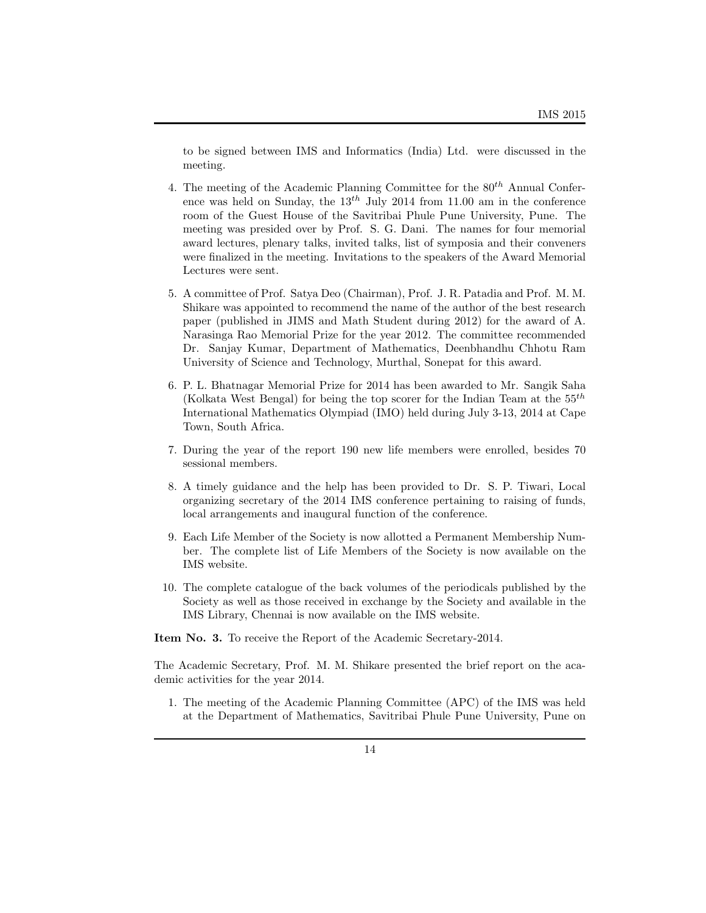to be signed between IMS and Informatics (India) Ltd. were discussed in the meeting.

- 4. The meeting of the Academic Planning Committee for the 80*th* Annual Conference was held on Sunday, the 13*th* July 2014 from 11.00 am in the conference room of the Guest House of the Savitribai Phule Pune University, Pune. The meeting was presided over by Prof. S. G. Dani. The names for four memorial award lectures, plenary talks, invited talks, list of symposia and their conveners were finalized in the meeting. Invitations to the speakers of the Award Memorial Lectures were sent.
- 5. A committee of Prof. Satya Deo (Chairman), Prof. J. R. Patadia and Prof. M. M. Shikare was appointed to recommend the name of the author of the best research paper (published in JIMS and Math Student during 2012) for the award of A. Narasinga Rao Memorial Prize for the year 2012. The committee recommended Dr. Sanjay Kumar, Department of Mathematics, Deenbhandhu Chhotu Ram University of Science and Technology, Murthal, Sonepat for this award.
- 6. P. L. Bhatnagar Memorial Prize for 2014 has been awarded to Mr. Sangik Saha (Kolkata West Bengal) for being the top scorer for the Indian Team at the 55*th* International Mathematics Olympiad (IMO) held during July 3-13, 2014 at Cape Town, South Africa.
- 7. During the year of the report 190 new life members were enrolled, besides 70 sessional members.
- 8. A timely guidance and the help has been provided to Dr. S. P. Tiwari, Local organizing secretary of the 2014 IMS conference pertaining to raising of funds, local arrangements and inaugural function of the conference.
- 9. Each Life Member of the Society is now allotted a Permanent Membership Number. The complete list of Life Members of the Society is now available on the IMS website.
- 10. The complete catalogue of the back volumes of the periodicals published by the Society as well as those received in exchange by the Society and available in the IMS Library, Chennai is now available on the IMS website.

**Item No. 3.** To receive the Report of the Academic Secretary-2014.

The Academic Secretary, Prof. M. M. Shikare presented the brief report on the academic activities for the year 2014.

1. The meeting of the Academic Planning Committee (APC) of the IMS was held at the Department of Mathematics, Savitribai Phule Pune University, Pune on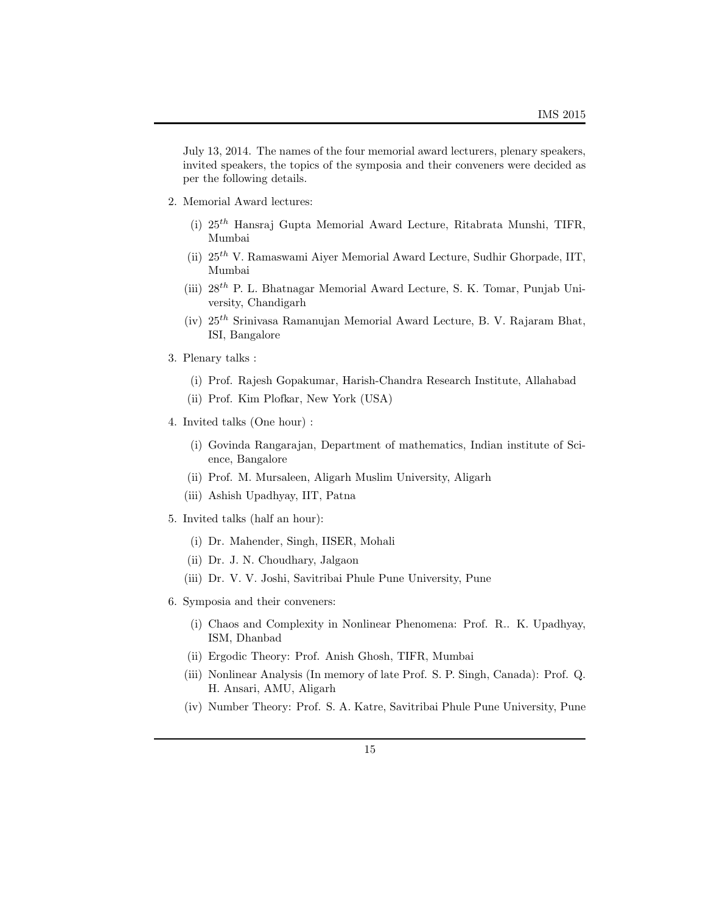July 13, 2014. The names of the four memorial award lecturers, plenary speakers, invited speakers, the topics of the symposia and their conveners were decided as per the following details.

- 2. Memorial Award lectures:
	- (i) 25*th* Hansraj Gupta Memorial Award Lecture, Ritabrata Munshi, TIFR, Mumbai
	- (ii) 25*th* V. Ramaswami Aiyer Memorial Award Lecture, Sudhir Ghorpade, IIT, Mumbai
	- (iii) 28*th* P. L. Bhatnagar Memorial Award Lecture, S. K. Tomar, Punjab University, Chandigarh
	- (iv) 25*th* Srinivasa Ramanujan Memorial Award Lecture, B. V. Rajaram Bhat, ISI, Bangalore
- 3. Plenary talks :
	- (i) Prof. Rajesh Gopakumar, Harish-Chandra Research Institute, Allahabad
	- (ii) Prof. Kim Plofkar, New York (USA)
- 4. Invited talks (One hour) :
	- (i) Govinda Rangarajan, Department of mathematics, Indian institute of Science, Bangalore
	- (ii) Prof. M. Mursaleen, Aligarh Muslim University, Aligarh
	- (iii) Ashish Upadhyay, IIT, Patna
- 5. Invited talks (half an hour):
	- (i) Dr. Mahender, Singh, IISER, Mohali
	- (ii) Dr. J. N. Choudhary, Jalgaon
	- (iii) Dr. V. V. Joshi, Savitribai Phule Pune University, Pune
- 6. Symposia and their conveners:
	- (i) Chaos and Complexity in Nonlinear Phenomena: Prof. R.. K. Upadhyay, ISM, Dhanbad
	- (ii) Ergodic Theory: Prof. Anish Ghosh, TIFR, Mumbai
	- (iii) Nonlinear Analysis (In memory of late Prof. S. P. Singh, Canada): Prof. Q. H. Ansari, AMU, Aligarh
	- (iv) Number Theory: Prof. S. A. Katre, Savitribai Phule Pune University, Pune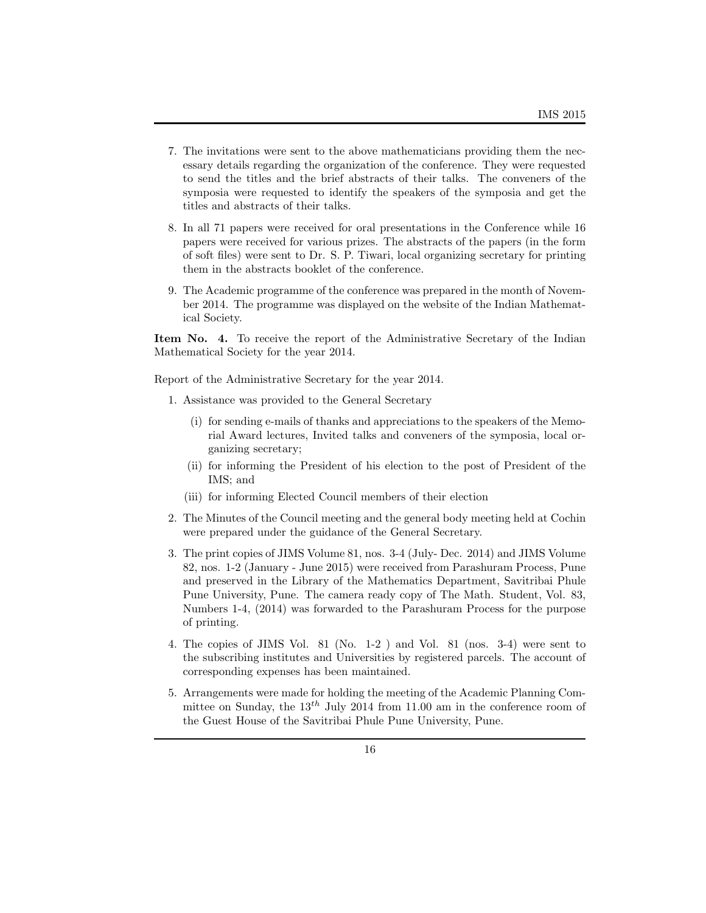- 7. The invitations were sent to the above mathematicians providing them the necessary details regarding the organization of the conference. They were requested to send the titles and the brief abstracts of their talks. The conveners of the symposia were requested to identify the speakers of the symposia and get the titles and abstracts of their talks.
- 8. In all 71 papers were received for oral presentations in the Conference while 16 papers were received for various prizes. The abstracts of the papers (in the form of soft files) were sent to Dr. S. P. Tiwari, local organizing secretary for printing them in the abstracts booklet of the conference.
- 9. The Academic programme of the conference was prepared in the month of November 2014. The programme was displayed on the website of the Indian Mathematical Society.

**Item No. 4.** To receive the report of the Administrative Secretary of the Indian Mathematical Society for the year 2014.

Report of the Administrative Secretary for the year 2014.

- 1. Assistance was provided to the General Secretary
	- (i) for sending e-mails of thanks and appreciations to the speakers of the Memorial Award lectures, Invited talks and conveners of the symposia, local organizing secretary;
	- (ii) for informing the President of his election to the post of President of the IMS; and
	- (iii) for informing Elected Council members of their election
- 2. The Minutes of the Council meeting and the general body meeting held at Cochin were prepared under the guidance of the General Secretary.
- 3. The print copies of JIMS Volume 81, nos. 3-4 (July- Dec. 2014) and JIMS Volume 82, nos. 1-2 (January - June 2015) were received from Parashuram Process, Pune and preserved in the Library of the Mathematics Department, Savitribai Phule Pune University, Pune. The camera ready copy of The Math. Student, Vol. 83, Numbers 1-4, (2014) was forwarded to the Parashuram Process for the purpose of printing.
- 4. The copies of JIMS Vol. 81 (No. 1-2 ) and Vol. 81 (nos. 3-4) were sent to the subscribing institutes and Universities by registered parcels. The account of corresponding expenses has been maintained.
- 5. Arrangements were made for holding the meeting of the Academic Planning Committee on Sunday, the 13*th* July 2014 from 11.00 am in the conference room of the Guest House of the Savitribai Phule Pune University, Pune.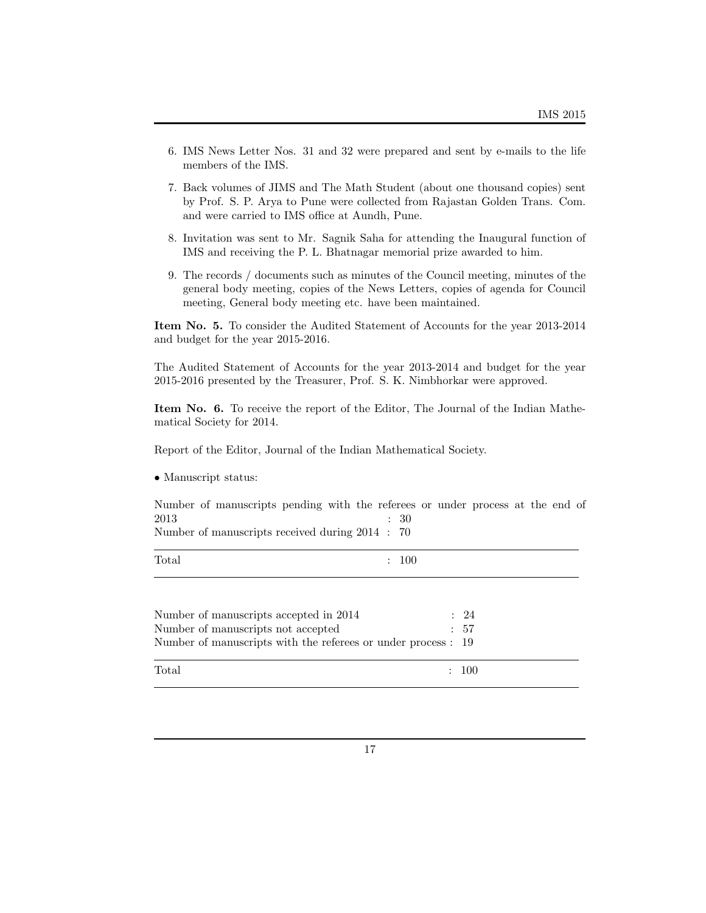- 6. IMS News Letter Nos. 31 and 32 were prepared and sent by e-mails to the life members of the IMS.
- 7. Back volumes of JIMS and The Math Student (about one thousand copies) sent by Prof. S. P. Arya to Pune were collected from Rajastan Golden Trans. Com. and were carried to IMS office at Aundh, Pune.
- 8. Invitation was sent to Mr. Sagnik Saha for attending the Inaugural function of IMS and receiving the P. L. Bhatnagar memorial prize awarded to him.
- 9. The records / documents such as minutes of the Council meeting, minutes of the general body meeting, copies of the News Letters, copies of agenda for Council meeting, General body meeting etc. have been maintained.

**Item No. 5.** To consider the Audited Statement of Accounts for the year 2013-2014 and budget for the year 2015-2016.

The Audited Statement of Accounts for the year 2013-2014 and budget for the year 2015-2016 presented by the Treasurer, Prof. S. K. Nimbhorkar were approved.

**Item No. 6.** To receive the report of the Editor, The Journal of the Indian Mathematical Society for 2014.

Report of the Editor, Journal of the Indian Mathematical Society.

*•* Manuscript status:

Number of manuscripts pending with the referees or under process at the end of  $2013$  : 30 Number of manuscripts received during 2014 : 70

| Total | 100<br>$\bullet$ |
|-------|------------------|
|       |                  |

| Number of manuscripts accepted in 2014<br>Number of manuscripts not accepted<br>Number of manuscripts with the referees or under process : 19 | : 24<br>$\div$ 57 |
|-----------------------------------------------------------------------------------------------------------------------------------------------|-------------------|
| Total                                                                                                                                         | $\div$ 100        |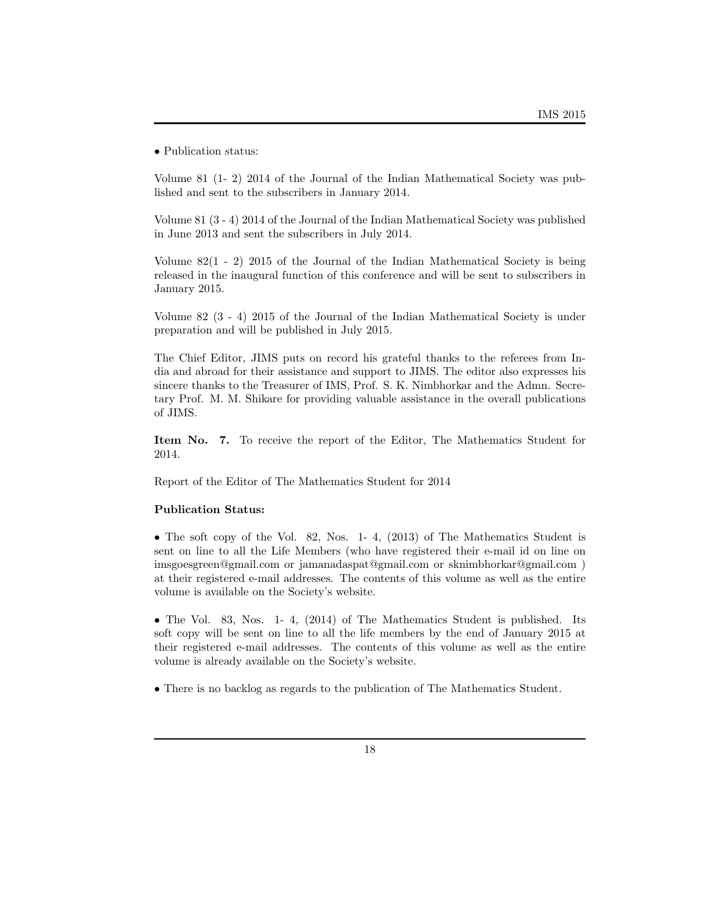*•* Publication status:

Volume 81 (1- 2) 2014 of the Journal of the Indian Mathematical Society was published and sent to the subscribers in January 2014.

Volume 81 (3 - 4) 2014 of the Journal of the Indian Mathematical Society was published in June 2013 and sent the subscribers in July 2014.

Volume 82(1 - 2) 2015 of the Journal of the Indian Mathematical Society is being released in the inaugural function of this conference and will be sent to subscribers in January 2015.

Volume 82 (3 - 4) 2015 of the Journal of the Indian Mathematical Society is under preparation and will be published in July 2015.

The Chief Editor, JIMS puts on record his grateful thanks to the referees from India and abroad for their assistance and support to JIMS. The editor also expresses his sincere thanks to the Treasurer of IMS, Prof. S. K. Nimbhorkar and the Admn. Secretary Prof. M. M. Shikare for providing valuable assistance in the overall publications of JIMS.

**Item No. 7.** To receive the report of the Editor, The Mathematics Student for 2014.

Report of the Editor of The Mathematics Student for 2014

### **Publication Status:**

• The soft copy of the Vol. 82, Nos. 1-4, (2013) of The Mathematics Student is sent on line to all the Life Members (who have registered their e-mail id on line on imsgoesgreen@gmail.com or jamanadaspat@gmail.com or sknimbhorkar@gmail.com ) at their registered e-mail addresses. The contents of this volume as well as the entire volume is available on the Society's website.

*•* The Vol. 83, Nos. 1- 4, (2014) of The Mathematics Student is published. Its soft copy will be sent on line to all the life members by the end of January 2015 at their registered e-mail addresses. The contents of this volume as well as the entire volume is already available on the Society's website.

• There is no backlog as regards to the publication of The Mathematics Student.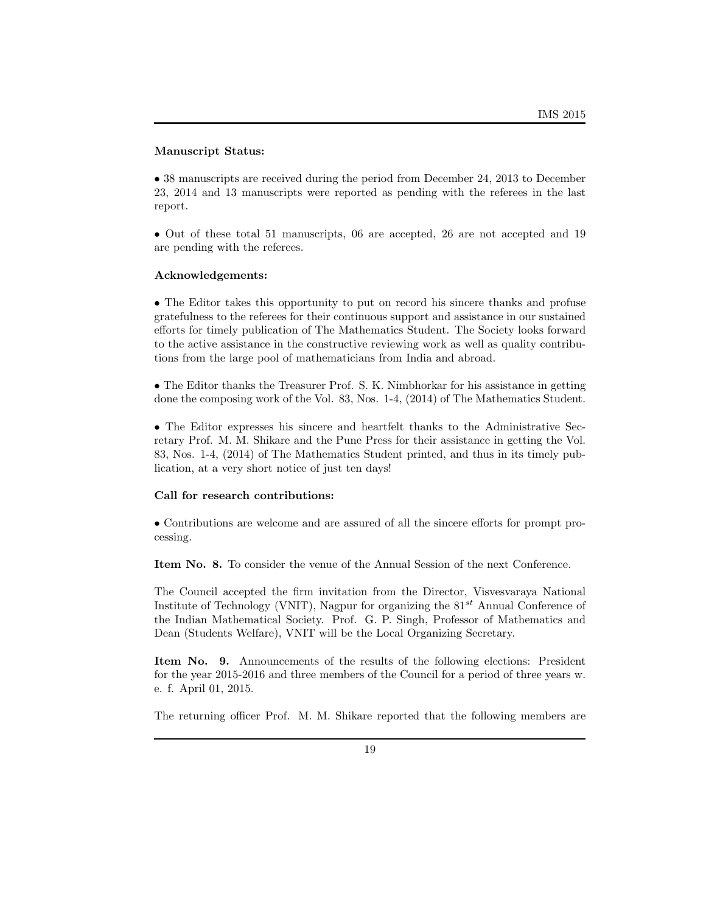### **Manuscript Status:**

• 38 manuscripts are received during the period from December 24, 2013 to December 23, 2014 and 13 manuscripts were reported as pending with the referees in the last report.

• Out of these total 51 manuscripts, 06 are accepted, 26 are not accepted and 19 are pending with the referees.

### **Acknowledgements:**

• The Editor takes this opportunity to put on record his sincere thanks and profuse gratefulness to the referees for their continuous support and assistance in our sustained efforts for timely publication of The Mathematics Student. The Society looks forward to the active assistance in the constructive reviewing work as well as quality contributions from the large pool of mathematicians from India and abroad.

• The Editor thanks the Treasurer Prof. S. K. Nimbhorkar for his assistance in getting done the composing work of the Vol. 83, Nos. 1-4, (2014) of The Mathematics Student.

• The Editor expresses his sincere and heartfelt thanks to the Administrative Secretary Prof. M. M. Shikare and the Pune Press for their assistance in getting the Vol. 83, Nos. 1-4, (2014) of The Mathematics Student printed, and thus in its timely publication, at a very short notice of just ten days!

### **Call for research contributions:**

• Contributions are welcome and are assured of all the sincere efforts for prompt processing.

**Item No. 8.** To consider the venue of the Annual Session of the next Conference.

The Council accepted the firm invitation from the Director, Visvesvaraya National Institute of Technology (VNIT), Nagpur for organizing the 81*st* Annual Conference of the Indian Mathematical Society. Prof. G. P. Singh, Professor of Mathematics and Dean (Students Welfare), VNIT will be the Local Organizing Secretary.

**Item No. 9.** Announcements of the results of the following elections: President for the year 2015-2016 and three members of the Council for a period of three years w. e. f. April 01, 2015.

The returning officer Prof. M. M. Shikare reported that the following members are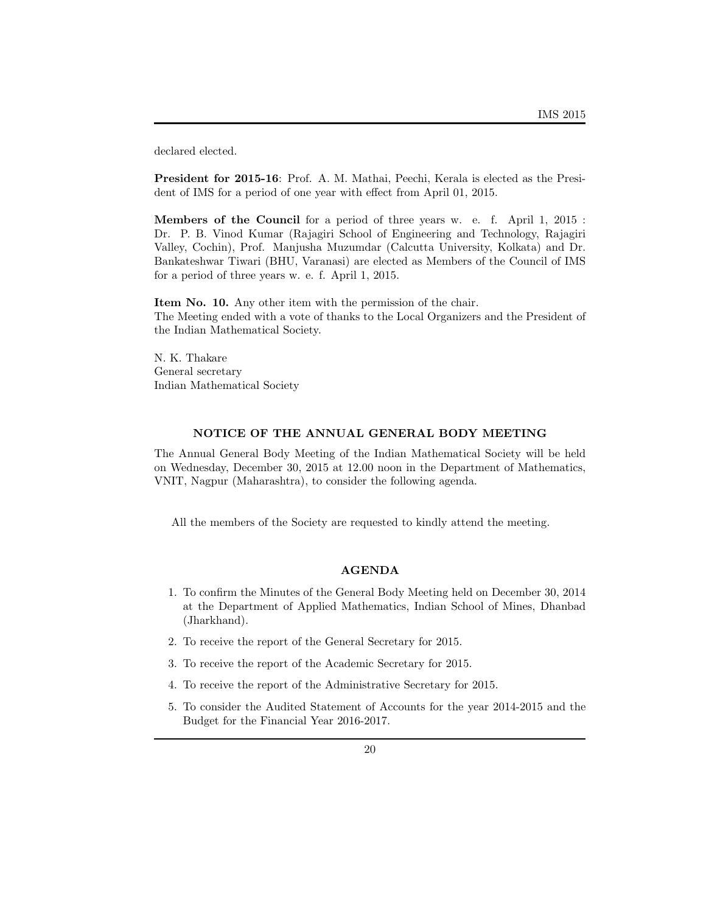declared elected.

**President for 2015-16**: Prof. A. M. Mathai, Peechi, Kerala is elected as the President of IMS for a period of one year with effect from April 01, 2015.

**Members of the Council** for a period of three years w. e. f. April 1, 2015 : Dr. P. B. Vinod Kumar (Rajagiri School of Engineering and Technology, Rajagiri Valley, Cochin), Prof. Manjusha Muzumdar (Calcutta University, Kolkata) and Dr. Bankateshwar Tiwari (BHU, Varanasi) are elected as Members of the Council of IMS for a period of three years w. e. f. April 1, 2015.

**Item No. 10.** Any other item with the permission of the chair. The Meeting ended with a vote of thanks to the Local Organizers and the President of the Indian Mathematical Society.

N. K. Thakare General secretary Indian Mathematical Society

### **NOTICE OF THE ANNUAL GENERAL BODY MEETING**

The Annual General Body Meeting of the Indian Mathematical Society will be held on Wednesday, December 30, 2015 at 12.00 noon in the Department of Mathematics, VNIT, Nagpur (Maharashtra), to consider the following agenda.

All the members of the Society are requested to kindly attend the meeting.

### **AGENDA**

- 1. To confirm the Minutes of the General Body Meeting held on December 30, 2014 at the Department of Applied Mathematics, Indian School of Mines, Dhanbad (Jharkhand).
- 2. To receive the report of the General Secretary for 2015.
- 3. To receive the report of the Academic Secretary for 2015.
- 4. To receive the report of the Administrative Secretary for 2015.
- 5. To consider the Audited Statement of Accounts for the year 2014-2015 and the Budget for the Financial Year 2016-2017.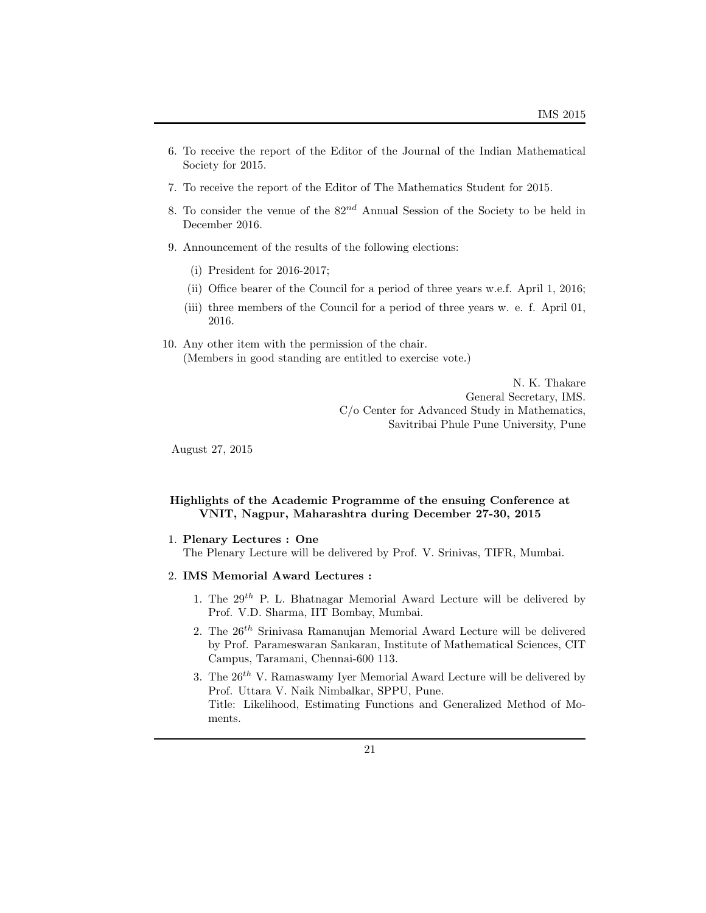- 6. To receive the report of the Editor of the Journal of the Indian Mathematical Society for 2015.
- 7. To receive the report of the Editor of The Mathematics Student for 2015.
- 8. To consider the venue of the 82*nd* Annual Session of the Society to be held in December 2016.
- 9. Announcement of the results of the following elections:
	- (i) President for 2016-2017;
	- (ii) Office bearer of the Council for a period of three years w.e.f. April 1, 2016;
	- (iii) three members of the Council for a period of three years w. e. f. April 01, 2016.
- 10. Any other item with the permission of the chair. (Members in good standing are entitled to exercise vote.)

N. K. Thakare General Secretary, IMS. C/o Center for Advanced Study in Mathematics, Savitribai Phule Pune University, Pune

August 27, 2015

## **Highlights of the Academic Programme of the ensuing Conference at VNIT, Nagpur, Maharashtra during December 27-30, 2015**

### 1. **Plenary Lectures : One**

The Plenary Lecture will be delivered by Prof. V. Srinivas, TIFR, Mumbai.

- 2. **IMS Memorial Award Lectures :**
	- 1. The 29*th* P. L. Bhatnagar Memorial Award Lecture will be delivered by Prof. V.D. Sharma, IIT Bombay, Mumbai.
	- 2. The 26*th* Srinivasa Ramanujan Memorial Award Lecture will be delivered by Prof. Parameswaran Sankaran, Institute of Mathematical Sciences, CIT Campus, Taramani, Chennai-600 113.
	- 3. The 26*th* V. Ramaswamy Iyer Memorial Award Lecture will be delivered by Prof. Uttara V. Naik Nimbalkar, SPPU, Pune. Title: Likelihood, Estimating Functions and Generalized Method of Moments.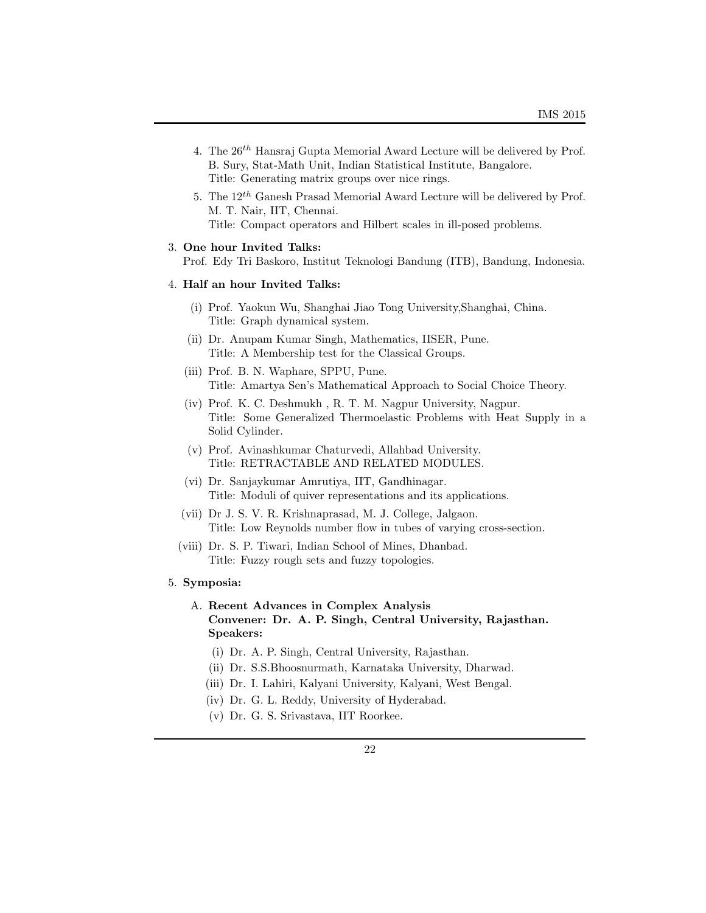- 4. The 26*th* Hansraj Gupta Memorial Award Lecture will be delivered by Prof. B. Sury, Stat-Math Unit, Indian Statistical Institute, Bangalore. Title: Generating matrix groups over nice rings.
- 5. The 12*th* Ganesh Prasad Memorial Award Lecture will be delivered by Prof. M. T. Nair, IIT, Chennai. Title: Compact operators and Hilbert scales in ill-posed problems.

#### 3. **One hour Invited Talks:**

Prof. Edy Tri Baskoro, Institut Teknologi Bandung (ITB), Bandung, Indonesia.

### 4. **Half an hour Invited Talks:**

- (i) Prof. Yaokun Wu, Shanghai Jiao Tong University,Shanghai, China. Title: Graph dynamical system.
- (ii) Dr. Anupam Kumar Singh, Mathematics, IISER, Pune. Title: A Membership test for the Classical Groups.
- (iii) Prof. B. N. Waphare, SPPU, Pune. Title: Amartya Sen's Mathematical Approach to Social Choice Theory.
- (iv) Prof. K. C. Deshmukh , R. T. M. Nagpur University, Nagpur. Title: Some Generalized Thermoelastic Problems with Heat Supply in a Solid Cylinder.
- (v) Prof. Avinashkumar Chaturvedi, Allahbad University. Title: RETRACTABLE AND RELATED MODULES.
- (vi) Dr. Sanjaykumar Amrutiya, IIT, Gandhinagar. Title: Moduli of quiver representations and its applications.
- (vii) Dr J. S. V. R. Krishnaprasad, M. J. College, Jalgaon. Title: Low Reynolds number flow in tubes of varying cross-section.
- (viii) Dr. S. P. Tiwari, Indian School of Mines, Dhanbad. Title: Fuzzy rough sets and fuzzy topologies.

#### 5. **Symposia:**

# A. **Recent Advances in Complex Analysis Convener: Dr. A. P. Singh, Central University, Rajasthan. Speakers:**

- (i) Dr. A. P. Singh, Central University, Rajasthan.
- (ii) Dr. S.S.Bhoosnurmath, Karnataka University, Dharwad.
- (iii) Dr. I. Lahiri, Kalyani University, Kalyani, West Bengal.
- (iv) Dr. G. L. Reddy, University of Hyderabad.
- (v) Dr. G. S. Srivastava, IIT Roorkee.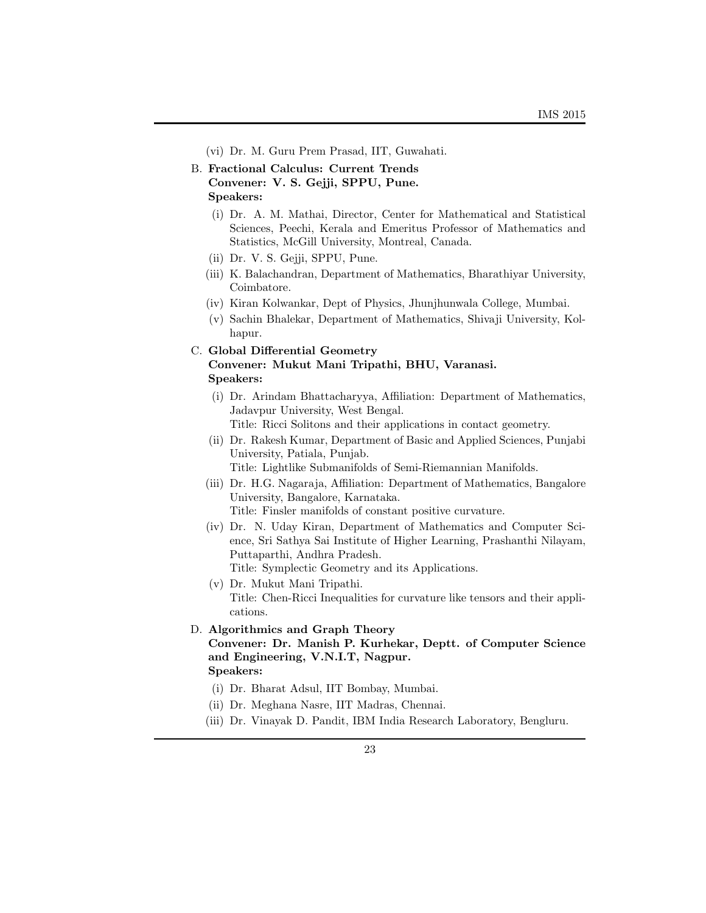- (vi) Dr. M. Guru Prem Prasad, IIT, Guwahati.
- B. **Fractional Calculus: Current Trends Convener: V. S. Gejji, SPPU, Pune. Speakers:**
	- (i) Dr. A. M. Mathai, Director, Center for Mathematical and Statistical Sciences, Peechi, Kerala and Emeritus Professor of Mathematics and Statistics, McGill University, Montreal, Canada.
	- (ii) Dr. V. S. Gejji, SPPU, Pune.
	- (iii) K. Balachandran, Department of Mathematics, Bharathiyar University, Coimbatore.
	- (iv) Kiran Kolwankar, Dept of Physics, Jhunjhunwala College, Mumbai.
	- (v) Sachin Bhalekar, Department of Mathematics, Shivaji University, Kolhapur.

# C. **Global Differential Geometry Convener: Mukut Mani Tripathi, BHU, Varanasi. Speakers:**

- (i) Dr. Arindam Bhattacharyya, Affiliation: Department of Mathematics, Jadavpur University, West Bengal. Title: Ricci Solitons and their applications in contact geometry.
- (ii) Dr. Rakesh Kumar, Department of Basic and Applied Sciences, Punjabi University, Patiala, Punjab. Title: Lightlike Submanifolds of Semi-Riemannian Manifolds.
- (iii) Dr. H.G. Nagaraja, Affiliation: Department of Mathematics, Bangalore University, Bangalore, Karnataka. Title: Finsler manifolds of constant positive curvature.
- (iv) Dr. N. Uday Kiran, Department of Mathematics and Computer Science, Sri Sathya Sai Institute of Higher Learning, Prashanthi Nilayam, Puttaparthi, Andhra Pradesh. Title: Symplectic Geometry and its Applications.
- (v) Dr. Mukut Mani Tripathi. Title: Chen-Ricci Inequalities for curvature like tensors and their applications.
- D. **Algorithmics and Graph Theory Convener: Dr. Manish P. Kurhekar, Deptt. of Computer Science and Engineering, V.N.I.T, Nagpur. Speakers:**
	- (i) Dr. Bharat Adsul, IIT Bombay, Mumbai.
	- (ii) Dr. Meghana Nasre, IIT Madras, Chennai.
	- (iii) Dr. Vinayak D. Pandit, IBM India Research Laboratory, Bengluru.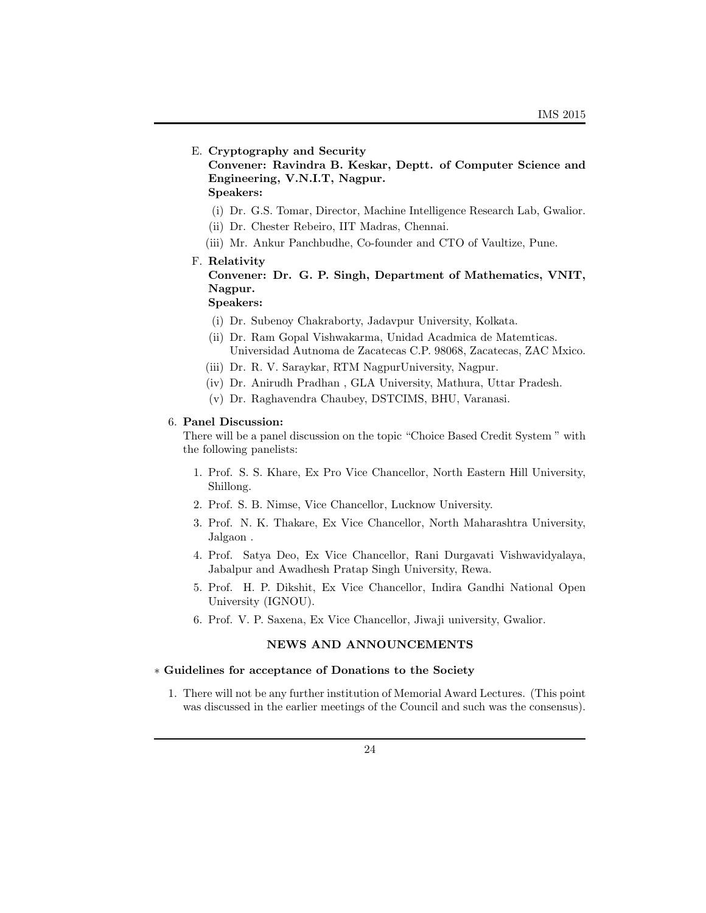### E. **Cryptography and Security**

**Convener: Ravindra B. Keskar, Deptt. of Computer Science and Engineering, V.N.I.T, Nagpur.**

**Speakers:**

- (i) Dr. G.S. Tomar, Director, Machine Intelligence Research Lab, Gwalior.
- (ii) Dr. Chester Rebeiro, IIT Madras, Chennai.
- (iii) Mr. Ankur Panchbudhe, Co-founder and CTO of Vaultize, Pune.

#### F. **Relativity**

**Convener: Dr. G. P. Singh, Department of Mathematics, VNIT, Nagpur.**

**Speakers:**

- (i) Dr. Subenoy Chakraborty, Jadavpur University, Kolkata.
- (ii) Dr. Ram Gopal Vishwakarma, Unidad Acadmica de Matemticas. Universidad Autnoma de Zacatecas C.P. 98068, Zacatecas, ZAC Mxico.
- (iii) Dr. R. V. Saraykar, RTM NagpurUniversity, Nagpur.
- (iv) Dr. Anirudh Pradhan , GLA University, Mathura, Uttar Pradesh.
- (v) Dr. Raghavendra Chaubey, DSTCIMS, BHU, Varanasi.

#### 6. **Panel Discussion:**

There will be a panel discussion on the topic "Choice Based Credit System " with the following panelists:

- 1. Prof. S. S. Khare, Ex Pro Vice Chancellor, North Eastern Hill University, Shillong.
- 2. Prof. S. B. Nimse, Vice Chancellor, Lucknow University.
- 3. Prof. N. K. Thakare, Ex Vice Chancellor, North Maharashtra University, Jalgaon .
- 4. Prof. Satya Deo, Ex Vice Chancellor, Rani Durgavati Vishwavidyalaya, Jabalpur and Awadhesh Pratap Singh University, Rewa.
- 5. Prof. H. P. Dikshit, Ex Vice Chancellor, Indira Gandhi National Open University (IGNOU).
- 6. Prof. V. P. Saxena, Ex Vice Chancellor, Jiwaji university, Gwalior.

#### **NEWS AND ANNOUNCEMENTS**

### *∗* **Guidelines for acceptance of Donations to the Society**

1. There will not be any further institution of Memorial Award Lectures. (This point was discussed in the earlier meetings of the Council and such was the consensus).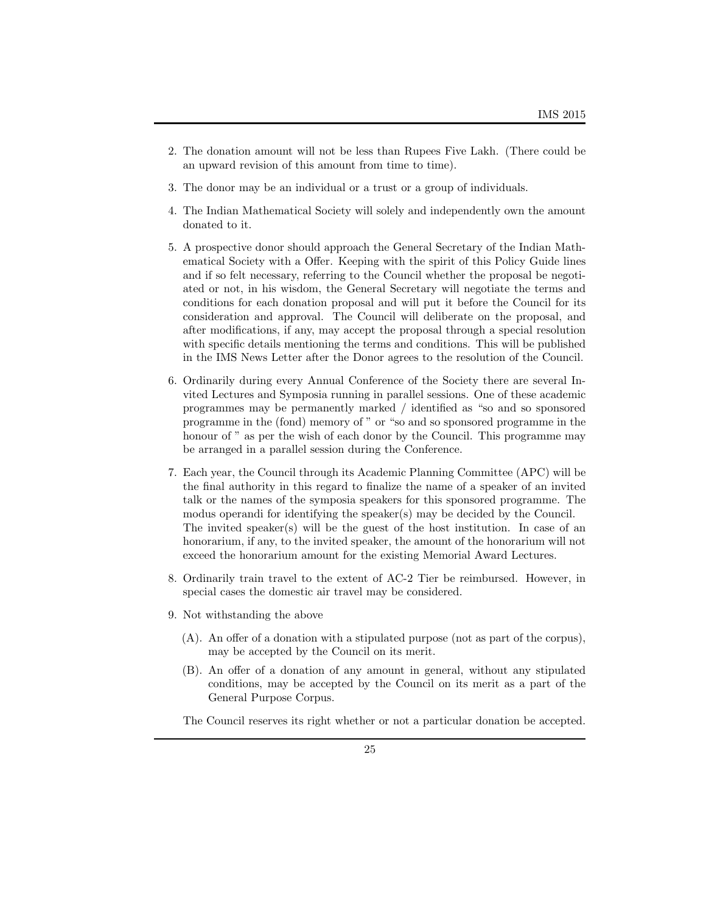- 2. The donation amount will not be less than Rupees Five Lakh. (There could be an upward revision of this amount from time to time).
- 3. The donor may be an individual or a trust or a group of individuals.
- 4. The Indian Mathematical Society will solely and independently own the amount donated to it.
- 5. A prospective donor should approach the General Secretary of the Indian Mathematical Society with a Offer. Keeping with the spirit of this Policy Guide lines and if so felt necessary, referring to the Council whether the proposal be negotiated or not, in his wisdom, the General Secretary will negotiate the terms and conditions for each donation proposal and will put it before the Council for its consideration and approval. The Council will deliberate on the proposal, and after modifications, if any, may accept the proposal through a special resolution with specific details mentioning the terms and conditions. This will be published in the IMS News Letter after the Donor agrees to the resolution of the Council.
- 6. Ordinarily during every Annual Conference of the Society there are several Invited Lectures and Symposia running in parallel sessions. One of these academic programmes may be permanently marked / identified as "so and so sponsored programme in the (fond) memory of " or "so and so sponsored programme in the honour of " as per the wish of each donor by the Council. This programme may be arranged in a parallel session during the Conference.
- 7. Each year, the Council through its Academic Planning Committee (APC) will be the final authority in this regard to finalize the name of a speaker of an invited talk or the names of the symposia speakers for this sponsored programme. The modus operandi for identifying the speaker(s) may be decided by the Council. The invited speaker(s) will be the guest of the host institution. In case of an honorarium, if any, to the invited speaker, the amount of the honorarium will not exceed the honorarium amount for the existing Memorial Award Lectures.
- 8. Ordinarily train travel to the extent of AC-2 Tier be reimbursed. However, in special cases the domestic air travel may be considered.
- 9. Not withstanding the above
	- (A). An offer of a donation with a stipulated purpose (not as part of the corpus), may be accepted by the Council on its merit.
	- (B). An offer of a donation of any amount in general, without any stipulated conditions, may be accepted by the Council on its merit as a part of the General Purpose Corpus.

The Council reserves its right whether or not a particular donation be accepted.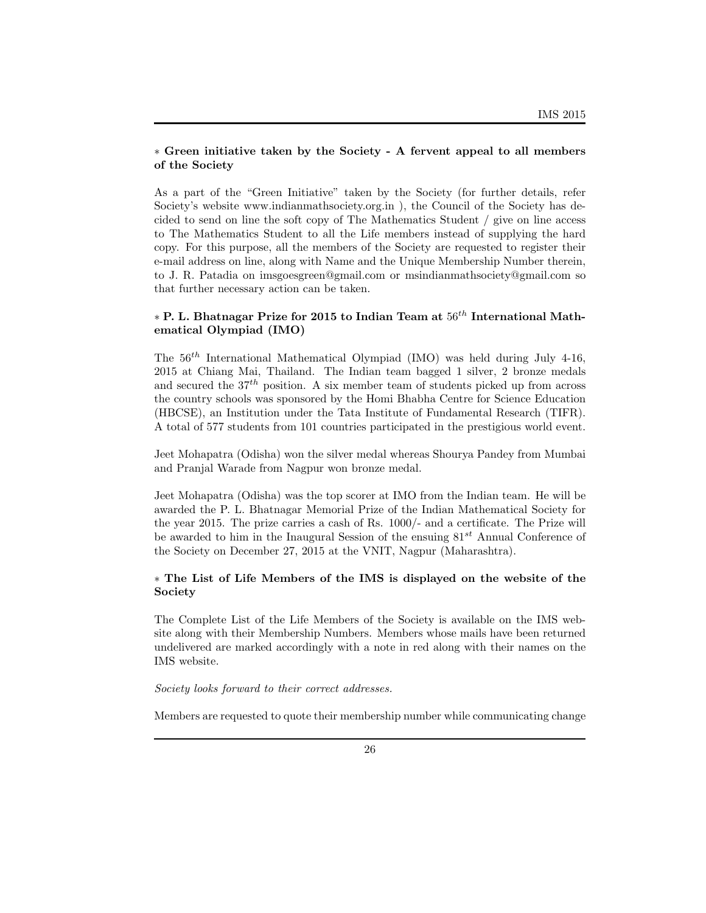### *∗* **Green initiative taken by the Society - A fervent appeal to all members of the Society**

As a part of the "Green Initiative" taken by the Society (for further details, refer Society's website www.indianmathsociety.org.in ), the Council of the Society has decided to send on line the soft copy of The Mathematics Student / give on line access to The Mathematics Student to all the Life members instead of supplying the hard copy. For this purpose, all the members of the Society are requested to register their e-mail address on line, along with Name and the Unique Membership Number therein, to J. R. Patadia on imsgoesgreen@gmail.com or msindianmathsociety@gmail.com so that further necessary action can be taken.

# *<sup>∗</sup>* **P. L. Bhatnagar Prize for 2015 to Indian Team at** <sup>56</sup>*th* **International Mathematical Olympiad (IMO)**

The 56*th* International Mathematical Olympiad (IMO) was held during July 4-16, 2015 at Chiang Mai, Thailand. The Indian team bagged 1 silver, 2 bronze medals and secured the 37*th* position. A six member team of students picked up from across the country schools was sponsored by the Homi Bhabha Centre for Science Education (HBCSE), an Institution under the Tata Institute of Fundamental Research (TIFR). A total of 577 students from 101 countries participated in the prestigious world event.

Jeet Mohapatra (Odisha) won the silver medal whereas Shourya Pandey from Mumbai and Pranjal Warade from Nagpur won bronze medal.

Jeet Mohapatra (Odisha) was the top scorer at IMO from the Indian team. He will be awarded the P. L. Bhatnagar Memorial Prize of the Indian Mathematical Society for the year 2015. The prize carries a cash of Rs. 1000/- and a certificate. The Prize will be awarded to him in the Inaugural Session of the ensuing 81*st* Annual Conference of the Society on December 27, 2015 at the VNIT, Nagpur (Maharashtra).

## *∗* **The List of Life Members of the IMS is displayed on the website of the Society**

The Complete List of the Life Members of the Society is available on the IMS website along with their Membership Numbers. Members whose mails have been returned undelivered are marked accordingly with a note in red along with their names on the IMS website.

### *Society looks forward to their correct addresses.*

Members are requested to quote their membership number while communicating change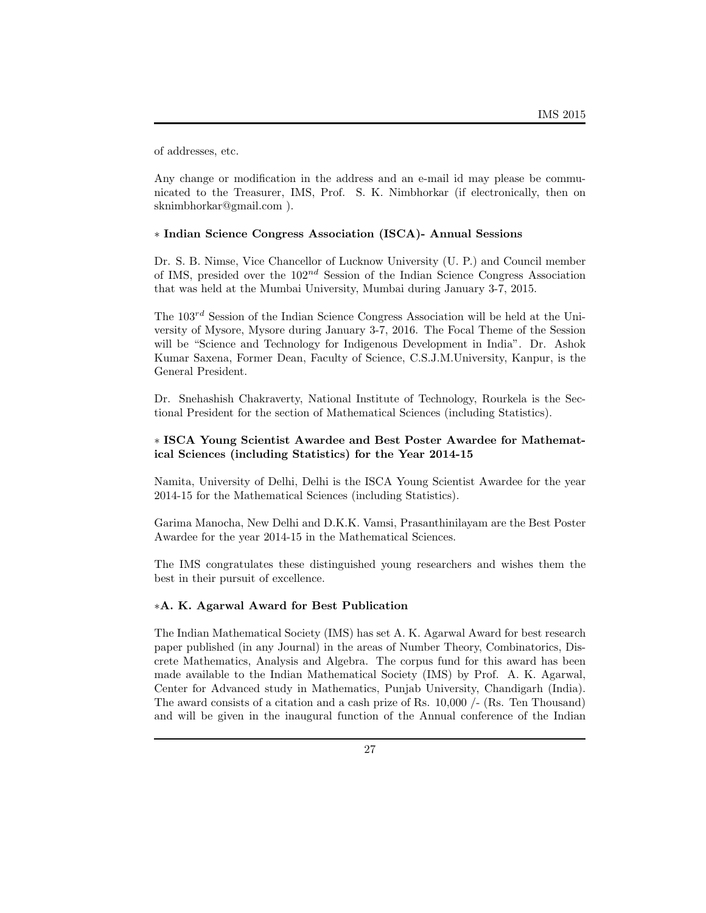of addresses, etc.

Any change or modification in the address and an e-mail id may please be communicated to the Treasurer, IMS, Prof. S. K. Nimbhorkar (if electronically, then on sknimbhorkar@gmail.com ).

### *∗* **Indian Science Congress Association (ISCA)- Annual Sessions**

Dr. S. B. Nimse, Vice Chancellor of Lucknow University (U. P.) and Council member of IMS, presided over the 102*nd* Session of the Indian Science Congress Association that was held at the Mumbai University, Mumbai during January 3-7, 2015.

The 103*rd* Session of the Indian Science Congress Association will be held at the University of Mysore, Mysore during January 3-7, 2016. The Focal Theme of the Session will be "Science and Technology for Indigenous Development in India". Dr. Ashok Kumar Saxena, Former Dean, Faculty of Science, C.S.J.M.University, Kanpur, is the General President.

Dr. Snehashish Chakraverty, National Institute of Technology, Rourkela is the Sectional President for the section of Mathematical Sciences (including Statistics).

### *∗* **ISCA Young Scientist Awardee and Best Poster Awardee for Mathematical Sciences (including Statistics) for the Year 2014-15**

Namita, University of Delhi, Delhi is the ISCA Young Scientist Awardee for the year 2014-15 for the Mathematical Sciences (including Statistics).

Garima Manocha, New Delhi and D.K.K. Vamsi, Prasanthinilayam are the Best Poster Awardee for the year 2014-15 in the Mathematical Sciences.

The IMS congratulates these distinguished young researchers and wishes them the best in their pursuit of excellence.

### *∗***A. K. Agarwal Award for Best Publication**

The Indian Mathematical Society (IMS) has set A. K. Agarwal Award for best research paper published (in any Journal) in the areas of Number Theory, Combinatorics, Discrete Mathematics, Analysis and Algebra. The corpus fund for this award has been made available to the Indian Mathematical Society (IMS) by Prof. A. K. Agarwal, Center for Advanced study in Mathematics, Punjab University, Chandigarh (India). The award consists of a citation and a cash prize of Rs. 10,000 /- (Rs. Ten Thousand) and will be given in the inaugural function of the Annual conference of the Indian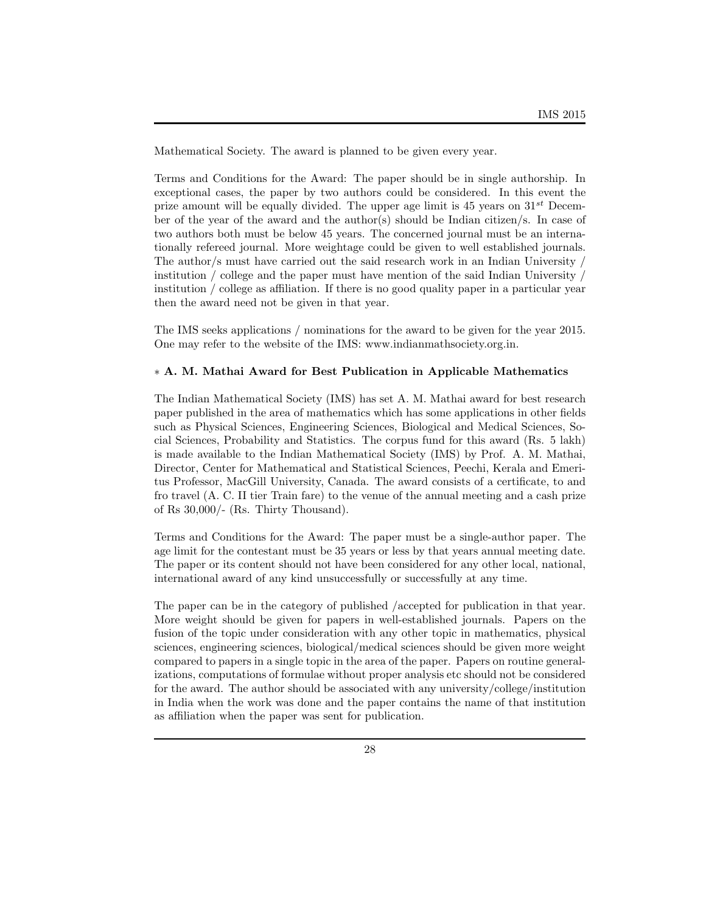Mathematical Society. The award is planned to be given every year.

Terms and Conditions for the Award: The paper should be in single authorship. In exceptional cases, the paper by two authors could be considered. In this event the prize amount will be equally divided. The upper age limit is 45 years on 31*st* December of the year of the award and the author(s) should be Indian citizen/s. In case of two authors both must be below 45 years. The concerned journal must be an internationally refereed journal. More weightage could be given to well established journals. The author/s must have carried out the said research work in an Indian University / institution / college and the paper must have mention of the said Indian University / institution / college as affiliation. If there is no good quality paper in a particular year then the award need not be given in that year.

The IMS seeks applications / nominations for the award to be given for the year 2015. One may refer to the website of the IMS: www.indianmathsociety.org.in.

## *∗* **A. M. Mathai Award for Best Publication in Applicable Mathematics**

The Indian Mathematical Society (IMS) has set A. M. Mathai award for best research paper published in the area of mathematics which has some applications in other fields such as Physical Sciences, Engineering Sciences, Biological and Medical Sciences, Social Sciences, Probability and Statistics. The corpus fund for this award (Rs. 5 lakh) is made available to the Indian Mathematical Society (IMS) by Prof. A. M. Mathai, Director, Center for Mathematical and Statistical Sciences, Peechi, Kerala and Emeritus Professor, MacGill University, Canada. The award consists of a certificate, to and fro travel (A. C. II tier Train fare) to the venue of the annual meeting and a cash prize of Rs 30,000/- (Rs. Thirty Thousand).

Terms and Conditions for the Award: The paper must be a single-author paper. The age limit for the contestant must be 35 years or less by that years annual meeting date. The paper or its content should not have been considered for any other local, national, international award of any kind unsuccessfully or successfully at any time.

The paper can be in the category of published /accepted for publication in that year. More weight should be given for papers in well-established journals. Papers on the fusion of the topic under consideration with any other topic in mathematics, physical sciences, engineering sciences, biological/medical sciences should be given more weight compared to papers in a single topic in the area of the paper. Papers on routine generalizations, computations of formulae without proper analysis etc should not be considered for the award. The author should be associated with any university/college/institution in India when the work was done and the paper contains the name of that institution as affiliation when the paper was sent for publication.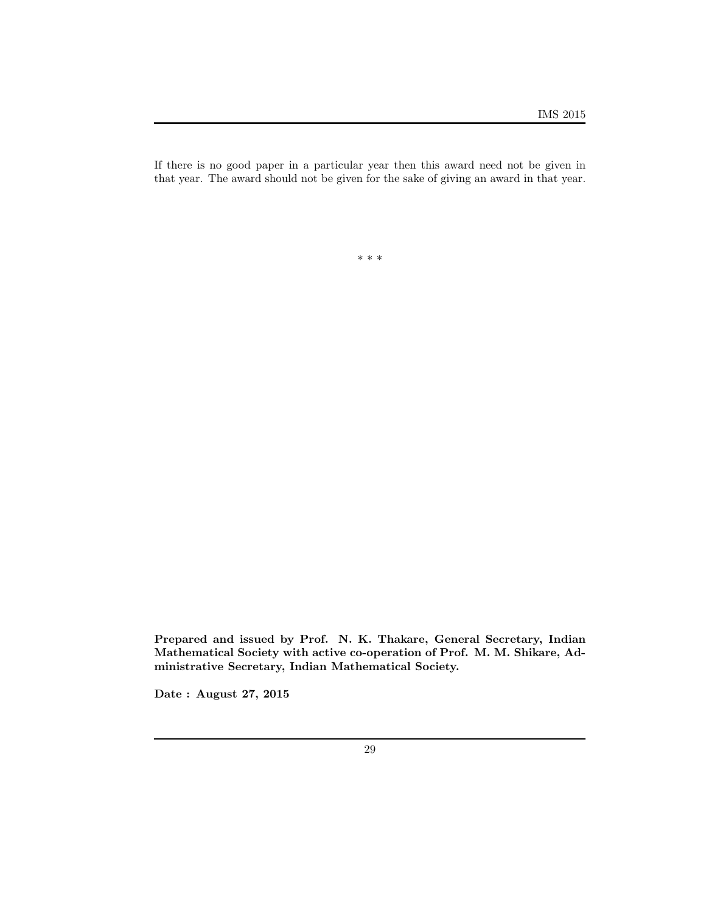If there is no good paper in a particular year then this award need not be given in that year. The award should not be given for the sake of giving an award in that year.

*∗ ∗ ∗*

**Prepared and issued by Prof. N. K. Thakare, General Secretary, Indian Mathematical Society with active co-operation of Prof. M. M. Shikare, Administrative Secretary, Indian Mathematical Society.**

**Date : August 27, 2015**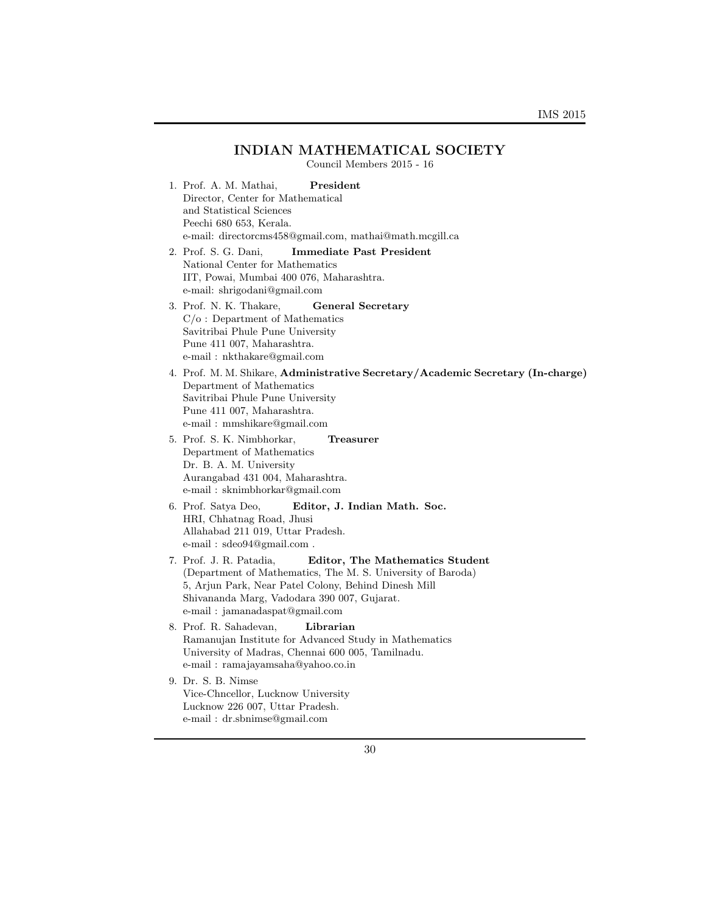# **INDIAN MATHEMATICAL SOCIETY**

Council Members 2015 - 16

| President<br>1. Prof. A. M. Mathai,<br>Director, Center for Mathematical                                     |
|--------------------------------------------------------------------------------------------------------------|
| and Statistical Sciences                                                                                     |
| Peechi 680 653, Kerala.                                                                                      |
| e-mail: directorcms458@gmail.com, mathai@math.mcgill.ca                                                      |
| <b>Immediate Past President</b><br>2. Prof. S. G. Dani,                                                      |
| National Center for Mathematics                                                                              |
| IIT, Powai, Mumbai 400 076, Maharashtra.                                                                     |
| e-mail: shrigodani@gmail.com                                                                                 |
| 3. Prof. N. K. Thakare,<br>General Secretary                                                                 |
| $C/O$ : Department of Mathematics                                                                            |
| Savitribai Phule Pune University                                                                             |
| Pune 411 007, Maharashtra.<br>e-mail: nkthakare@gmail.com                                                    |
|                                                                                                              |
| 4. Prof. M. M. Shikare, Administrative Secretary/Academic Secretary (In-charge)<br>Department of Mathematics |
| Savitribai Phule Pune University                                                                             |
| Pune 411 007, Maharashtra.                                                                                   |
| e-mail: mmshikare@gmail.com                                                                                  |
| 5. Prof. S. K. Nimbhorkar,<br>Treasurer                                                                      |
| Department of Mathematics                                                                                    |
| Dr. B. A. M. University                                                                                      |
| Aurangabad 431 004, Maharashtra.                                                                             |
| e-mail: sknimbhorkar@gmail.com                                                                               |
| 6. Prof. Satya Deo,<br>Editor, J. Indian Math. Soc.                                                          |
| HRI, Chhatnag Road, Jhusi<br>Allahabad 211 019, Uttar Pradesh.                                               |
| e-mail: sdeo94@gmail.com.                                                                                    |
| Editor, The Mathematics Student<br>7. Prof. J. R. Patadia,                                                   |
| (Department of Mathematics, The M. S. University of Baroda)                                                  |
| 5, Arjun Park, Near Patel Colony, Behind Dinesh Mill                                                         |
| Shivananda Marg, Vadodara 390 007, Gujarat.                                                                  |
| e-mail: jamanadaspat@gmail.com                                                                               |
| 8. Prof. R. Sahadevan,<br>Librarian                                                                          |
| Ramanujan Institute for Advanced Study in Mathematics                                                        |
| University of Madras, Chennai 600 005, Tamilnadu.                                                            |
| e-mail: ramajayamsaha@yahoo.co.in                                                                            |
| 9. Dr. S. B. Nimse                                                                                           |
| Vice-Chncellor, Lucknow University                                                                           |
| Lucknow 226 007, Uttar Pradesh.                                                                              |

e-mail : dr.sbnimse@gmail.com